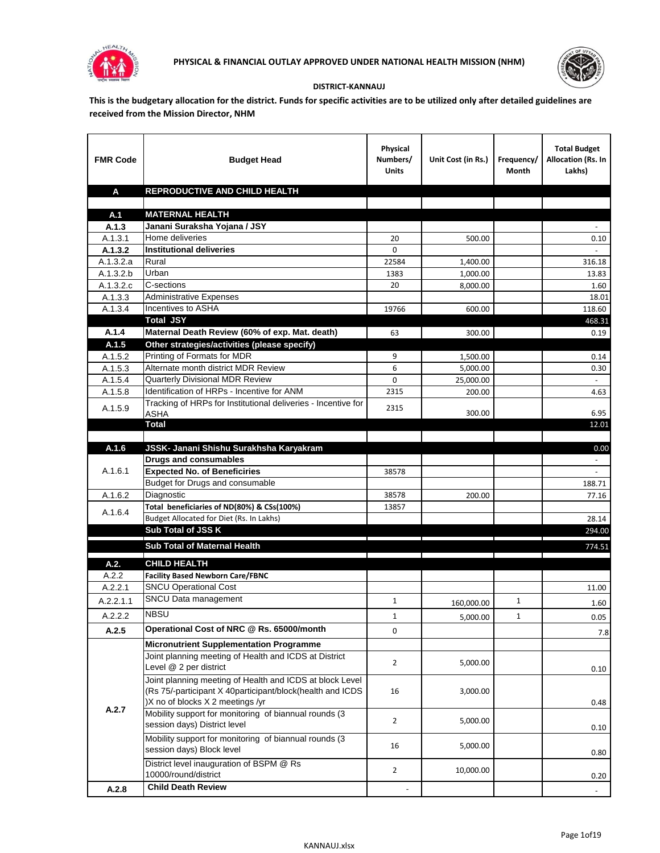



## **DISTRICT-KANNAUJ**

**This is the budgetary allocation for the district. Funds for specific activities are to be utilized only after detailed guidelines are received from the Mission Director, NHM**

| <b>FMR Code</b>    | <b>Budget Head</b>                                                                                                                                        | Physical<br>Numbers/<br><b>Units</b> | Unit Cost (in Rs.)  | Frequency/<br>Month | <b>Total Budget</b><br>Allocation (Rs. In<br>Lakhs) |
|--------------------|-----------------------------------------------------------------------------------------------------------------------------------------------------------|--------------------------------------|---------------------|---------------------|-----------------------------------------------------|
| A                  | REPRODUCTIVE AND CHILD HEALTH                                                                                                                             |                                      |                     |                     |                                                     |
| A.1                | <b>MATERNAL HEALTH</b>                                                                                                                                    |                                      |                     |                     |                                                     |
| A.1.3              | Janani Suraksha Yojana / JSY                                                                                                                              |                                      |                     |                     |                                                     |
| A.1.3.1            | Home deliveries                                                                                                                                           | 20                                   | 500.00              |                     | $0.10\,$                                            |
| A.1.3.2            | <b>Institutional deliveries</b>                                                                                                                           | $\Omega$                             |                     |                     |                                                     |
| A.1.3.2.a          | Rural                                                                                                                                                     | 22584                                | 1,400.00            |                     | 316.18                                              |
| A.1.3.2.b          | Urban                                                                                                                                                     | 1383                                 | 1,000.00            |                     | 13.83                                               |
| A.1.3.2.c          | C-sections                                                                                                                                                | 20                                   | 8.000.00            |                     | 1.60                                                |
| A.1.3.3            | <b>Administrative Expenses</b>                                                                                                                            |                                      |                     |                     | 18.01                                               |
| A.1.3.4            | Incentives to ASHA                                                                                                                                        | 19766                                | 600.00              |                     | 118.60                                              |
|                    | <b>Total JSY</b>                                                                                                                                          |                                      |                     |                     | 468.31                                              |
| A.1.4              | Maternal Death Review (60% of exp. Mat. death)                                                                                                            | 63                                   | 300.00              |                     | 0.19                                                |
| A.1.5              | Other strategies/activities (please specify)                                                                                                              |                                      |                     |                     |                                                     |
| A.1.5.2            | Printing of Formats for MDR<br>Alternate month district MDR Review                                                                                        | 9                                    | 1,500.00            |                     | 0.14                                                |
| A.1.5.3            | <b>Quarterly Divisional MDR Review</b>                                                                                                                    | 6<br>0                               | 5,000.00            |                     | 0.30<br>$\sim$                                      |
| A.1.5.4<br>A.1.5.8 | Identification of HRPs - Incentive for ANM                                                                                                                | 2315                                 | 25,000.00<br>200.00 |                     | 4.63                                                |
|                    | Tracking of HRPs for Institutional deliveries - Incentive for                                                                                             |                                      |                     |                     |                                                     |
| A.1.5.9            | <b>ASHA</b>                                                                                                                                               | 2315                                 | 300.00              |                     | 6.95                                                |
|                    | <b>Total</b>                                                                                                                                              |                                      |                     |                     | 12.01                                               |
|                    |                                                                                                                                                           |                                      |                     |                     |                                                     |
| A.1.6              | JSSK- Janani Shishu Surakhsha Karyakram                                                                                                                   |                                      |                     |                     | 0.00                                                |
|                    | <b>Drugs and consumables</b>                                                                                                                              |                                      |                     |                     | $\sim$                                              |
| A.1.6.1            | <b>Expected No. of Beneficiries</b>                                                                                                                       | 38578                                |                     |                     |                                                     |
|                    | Budget for Drugs and consumable                                                                                                                           |                                      |                     |                     | 188.71                                              |
| A.1.6.2            | Diagnostic                                                                                                                                                | 38578                                | 200.00              |                     | 77.16                                               |
| A.1.6.4            | Total beneficiaries of ND(80%) & CSs(100%)                                                                                                                | 13857                                |                     |                     | 28.14                                               |
|                    | Budget Allocated for Diet (Rs. In Lakhs)<br>Sub Total of JSS K                                                                                            |                                      |                     |                     | 294.00                                              |
|                    |                                                                                                                                                           |                                      |                     |                     |                                                     |
|                    | Sub Total of Maternal Health                                                                                                                              |                                      |                     |                     | 774.51                                              |
| A.2.               | <b>CHILD HEALTH</b>                                                                                                                                       |                                      |                     |                     |                                                     |
| A.2.2              | <b>Facility Based Newborn Care/FBNC</b>                                                                                                                   |                                      |                     |                     |                                                     |
| A.2.2.1            | <b>SNCU Operational Cost</b>                                                                                                                              |                                      |                     |                     | 11.00                                               |
| A.2.2.1.1          | SNCU Data management                                                                                                                                      | 1                                    | 160,000.00          | 1                   | 1.60                                                |
| A.2.2.2            | <b>NBSU</b>                                                                                                                                               | $\mathbf 1$                          | 5,000.00            | 1                   | 0.05                                                |
| A.2.5              | Operational Cost of NRC @ Rs. 65000/month                                                                                                                 | 0                                    |                     |                     | 7.8                                                 |
|                    | <b>Micronutrient Supplementation Programme</b>                                                                                                            |                                      |                     |                     |                                                     |
|                    | Joint planning meeting of Health and ICDS at District                                                                                                     |                                      |                     |                     |                                                     |
|                    | Level @ 2 per district                                                                                                                                    | $\overline{2}$                       | 5,000.00            |                     | 0.10                                                |
|                    | Joint planning meeting of Health and ICDS at block Level<br>(Rs 75/-participant X 40participant/block(health and ICDS<br>)X no of blocks X 2 meetings /yr | 16                                   | 3,000.00            |                     | 0.48                                                |
| A.2.7              | Mobility support for monitoring of biannual rounds (3<br>session days) District level                                                                     | $\overline{2}$                       | 5,000.00            |                     | 0.10                                                |
|                    | Mobility support for monitoring of biannual rounds (3<br>session days) Block level                                                                        | 16                                   | 5,000.00            |                     | 0.80                                                |
|                    | District level inauguration of BSPM @ Rs<br>10000/round/district                                                                                          | $\overline{2}$                       | 10,000.00           |                     | 0.20                                                |
| A.2.8              | <b>Child Death Review</b>                                                                                                                                 |                                      |                     |                     |                                                     |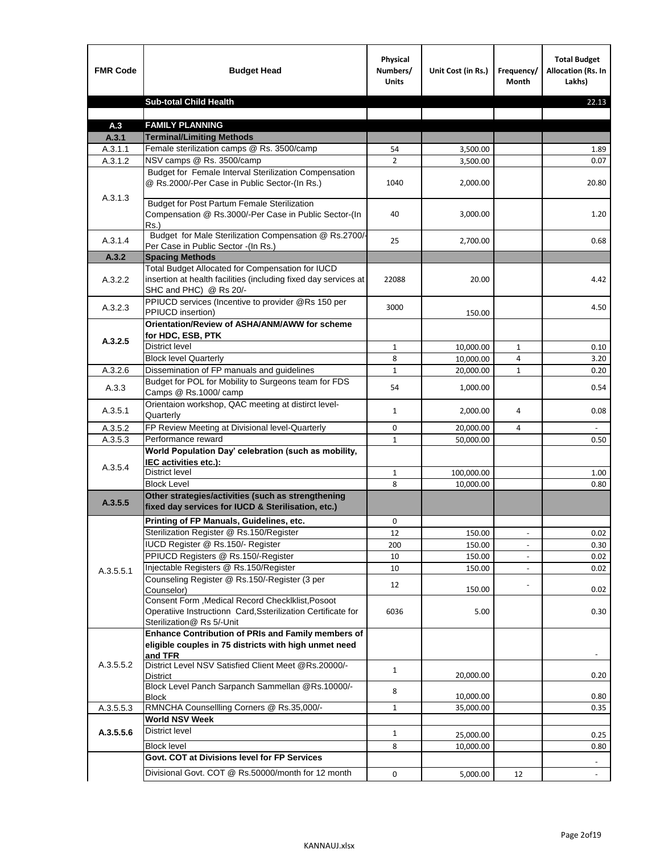| <b>FMR Code</b>    | <b>Budget Head</b>                                                                                                                             | Physical<br>Numbers/<br><b>Units</b> | Unit Cost (in Rs.) | Frequency/<br>Month      | <b>Total Budget</b><br><b>Allocation (Rs. In</b><br>Lakhs) |
|--------------------|------------------------------------------------------------------------------------------------------------------------------------------------|--------------------------------------|--------------------|--------------------------|------------------------------------------------------------|
|                    | <b>Sub-total Child Health</b>                                                                                                                  |                                      |                    |                          | 22.13                                                      |
|                    |                                                                                                                                                |                                      |                    |                          |                                                            |
| A.3                | <b>FAMILY PLANNING</b>                                                                                                                         |                                      |                    |                          |                                                            |
| A.3.1              | <b>Terminal/Limiting Methods</b>                                                                                                               |                                      |                    |                          |                                                            |
| A.3.1.1<br>A.3.1.2 | Female sterilization camps @ Rs. 3500/camp<br>NSV camps @ Rs. 3500/camp                                                                        | 54<br>$\overline{2}$                 | 3,500.00           |                          | 1.89<br>0.07                                               |
|                    | Budget for Female Interval Sterilization Compensation                                                                                          |                                      | 3,500.00           |                          |                                                            |
| A.3.1.3            | @ Rs.2000/-Per Case in Public Sector-(In Rs.)                                                                                                  | 1040                                 | 2,000.00           |                          | 20.80                                                      |
|                    | <b>Budget for Post Partum Female Sterilization</b><br>Compensation @ Rs.3000/-Per Case in Public Sector-(In<br>$Rs.$ )                         | 40                                   | 3,000.00           |                          | 1.20                                                       |
| A.3.1.4            | Budget for Male Sterilization Compensation @ Rs.2700/-<br>Per Case in Public Sector -(In Rs.)                                                  | 25                                   | 2,700.00           |                          | 0.68                                                       |
| A.3.2              | <b>Spacing Methods</b>                                                                                                                         |                                      |                    |                          |                                                            |
| A.3.2.2            | Total Budget Allocated for Compensation for IUCD<br>insertion at health facilities (including fixed day services at<br>SHC and PHC) @ Rs 20/-  | 22088                                | 20.00              |                          | 4.42                                                       |
| A.3.2.3            | PPIUCD services (Incentive to provider @Rs 150 per<br>PPIUCD insertion)                                                                        | 3000                                 | 150.00             |                          | 4.50                                                       |
|                    | Orientation/Review of ASHA/ANM/AWW for scheme<br>for HDC, ESB, PTK                                                                             |                                      |                    |                          |                                                            |
| A.3.2.5            | <b>District level</b>                                                                                                                          | $\mathbf{1}$                         | 10,000.00          | $\mathbf{1}$             | 0.10                                                       |
|                    | <b>Block level Quarterly</b>                                                                                                                   | 8                                    | 10,000.00          | 4                        | 3.20                                                       |
| A.3.2.6            | Dissemination of FP manuals and guidelines                                                                                                     | $\mathbf{1}$                         | 20,000.00          | $\mathbf{1}$             | 0.20                                                       |
| A.3.3              | Budget for POL for Mobility to Surgeons team for FDS<br>Camps @ Rs.1000/camp                                                                   | 54                                   | 1,000.00           |                          | 0.54                                                       |
| A.3.5.1            | Orientaion workshop, QAC meeting at distirct level-<br>Quarterly                                                                               | $\mathbf{1}$                         | 2,000.00           | 4                        | 0.08                                                       |
| A.3.5.2            | FP Review Meeting at Divisional level-Quarterly                                                                                                | 0                                    | 20,000.00          | 4                        |                                                            |
| A.3.5.3            | Performance reward                                                                                                                             | $\mathbf{1}$                         | 50,000.00          |                          | 0.50                                                       |
| A.3.5.4            | World Population Day' celebration (such as mobility,<br>IEC activities etc.):                                                                  |                                      |                    |                          |                                                            |
|                    | District level                                                                                                                                 | 1                                    | 100,000.00         |                          | 1.00                                                       |
|                    | <b>Block Level</b>                                                                                                                             | 8                                    | 10.000.00          |                          | 0.80                                                       |
| A.3.5.5            | Other strategies/activities (such as strengthening<br>fixed day services for IUCD & Sterilisation, etc.)                                       |                                      |                    |                          |                                                            |
|                    | Printing of FP Manuals, Guidelines, etc.                                                                                                       | 0                                    |                    |                          |                                                            |
|                    | Sterilization Register @ Rs.150/Register                                                                                                       | 12                                   | 150.00             | $\overline{\phantom{a}}$ | 0.02                                                       |
|                    | IUCD Register @ Rs.150/- Register                                                                                                              | 200                                  | 150.00             |                          | 0.30                                                       |
|                    | PPIUCD Registers @ Rs.150/-Register                                                                                                            | 10                                   | 150.00             |                          | 0.02                                                       |
| A.3.5.5.1          | Injectable Registers @ Rs.150/Register                                                                                                         | 10                                   | 150.00             |                          | 0.02                                                       |
|                    | Counseling Register @ Rs.150/-Register (3 per<br>Counselor)                                                                                    | 12                                   | 150.00             |                          | 0.02                                                       |
|                    | Consent Form , Medical Record CheckIklist, Posoot<br>Operatiive Instructionn Card, Ssterilization Certificate for<br>Sterilization@ Rs 5/-Unit | 6036                                 | 5.00               |                          | 0.30                                                       |
|                    | Enhance Contribution of PRIs and Family members of<br>eligible couples in 75 districts with high unmet need<br>and TFR                         |                                      |                    |                          |                                                            |
| A.3.5.5.2          | District Level NSV Satisfied Client Meet @Rs.20000/-<br>District                                                                               | $\mathbf{1}$                         | 20,000.00          |                          | 0.20                                                       |
|                    | Block Level Panch Sarpanch Sammellan @Rs.10000/-<br>Block                                                                                      | 8                                    | 10,000.00          |                          | 0.80                                                       |
| A.3.5.5.3          | RMNCHA Counsellling Corners @ Rs.35,000/-                                                                                                      | $\mathbf{1}$                         | 35,000.00          |                          | 0.35                                                       |
|                    | <b>World NSV Week</b>                                                                                                                          |                                      |                    |                          |                                                            |
| A.3.5.5.6          | District level                                                                                                                                 | $\mathbf{1}$                         | 25,000.00          |                          | 0.25                                                       |
|                    | <b>Block level</b>                                                                                                                             | 8                                    | 10,000.00          |                          | 0.80                                                       |
|                    | Govt. COT at Divisions level for FP Services                                                                                                   |                                      |                    |                          |                                                            |
|                    | Divisional Govt. COT @ Rs.50000/month for 12 month                                                                                             | 0                                    | 5,000.00           | 12                       | $\blacksquare$                                             |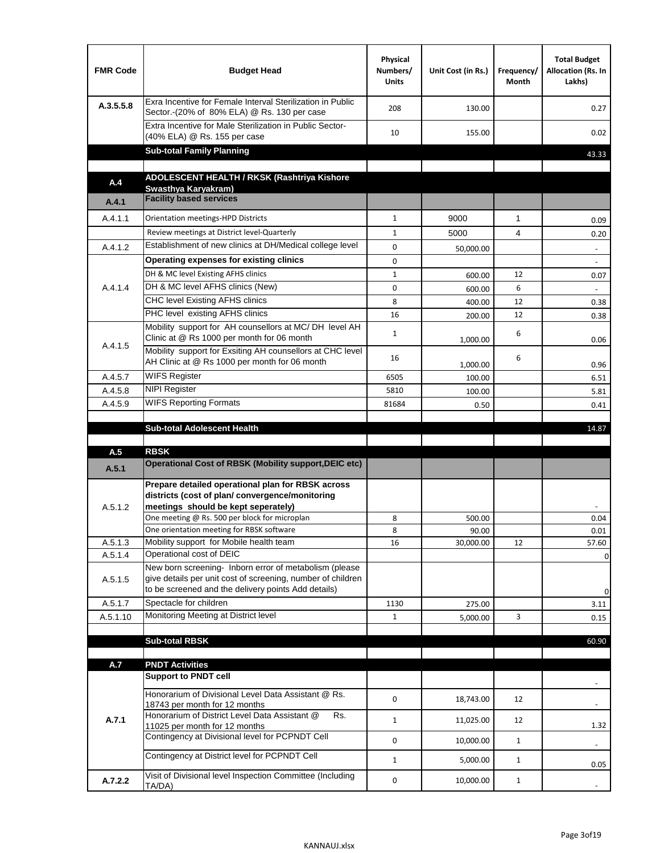| <b>FMR Code</b> | <b>Budget Head</b>                                                                                                                                                                          | Physical<br>Numbers/<br><b>Units</b> | Unit Cost (in Rs.) | Frequency/<br><b>Month</b> | <b>Total Budget</b><br>Allocation (Rs. In<br>Lakhs) |
|-----------------|---------------------------------------------------------------------------------------------------------------------------------------------------------------------------------------------|--------------------------------------|--------------------|----------------------------|-----------------------------------------------------|
| A.3.5.5.8       | Exra Incentive for Female Interval Sterilization in Public<br>Sector.-(20% of 80% ELA) @ Rs. 130 per case                                                                                   | 208                                  | 130.00             |                            | 0.27                                                |
|                 | Extra Incentive for Male Sterilization in Public Sector-<br>(40% ELA) @ Rs. 155 per case                                                                                                    | 10                                   | 155.00             |                            | 0.02                                                |
|                 | <b>Sub-total Family Planning</b>                                                                                                                                                            |                                      |                    |                            | 43.33                                               |
|                 | ADOLESCENT HEALTH / RKSK (Rashtriya Kishore                                                                                                                                                 |                                      |                    |                            |                                                     |
| A.4             | Swasthva Karvakram)                                                                                                                                                                         |                                      |                    |                            |                                                     |
| A.4.1           | <b>Facility based services</b>                                                                                                                                                              |                                      |                    |                            |                                                     |
| A.4.1.1         | Orientation meetings-HPD Districts                                                                                                                                                          | $\mathbf{1}$                         | 9000               | $\mathbf{1}$               | 0.09                                                |
|                 | Review meetings at District level-Quarterly                                                                                                                                                 | $\mathbf{1}$                         | 5000               | 4                          | 0.20                                                |
| A.4.1.2         | Establishment of new clinics at DH/Medical college level                                                                                                                                    | 0                                    | 50,000.00          |                            | $\overline{\phantom{a}}$                            |
|                 | Operating expenses for existing clinics                                                                                                                                                     | 0                                    |                    |                            |                                                     |
|                 | DH & MC level Existing AFHS clinics                                                                                                                                                         | $\mathbf{1}$                         | 600.00             | 12                         | 0.07                                                |
| A.4.1.4         | DH & MC level AFHS clinics (New)                                                                                                                                                            | 0                                    | 600.00             | 6                          |                                                     |
|                 | CHC level Existing AFHS clinics                                                                                                                                                             | 8                                    | 400.00             | 12                         | 0.38                                                |
|                 | PHC level existing AFHS clinics                                                                                                                                                             | 16                                   | 200.00             | 12                         | 0.38                                                |
| A.4.1.5         | Mobility support for AH counsellors at MC/DH level AH<br>Clinic at @ Rs 1000 per month for 06 month                                                                                         | $\mathbf{1}$                         | 1,000.00           | 6                          | 0.06                                                |
|                 | Mobility support for Exsiting AH counsellors at CHC level<br>AH Clinic at @ Rs 1000 per month for 06 month                                                                                  | 16                                   |                    | 6                          | 0.96                                                |
| A.4.5.7         | <b>WIFS Register</b>                                                                                                                                                                        | 6505                                 | 1,000.00<br>100.00 |                            | 6.51                                                |
| A.4.5.8         | <b>NIPI Register</b>                                                                                                                                                                        | 5810                                 | 100.00             |                            | 5.81                                                |
| A.4.5.9         | <b>WIFS Reporting Formats</b>                                                                                                                                                               | 81684                                | 0.50               |                            | 0.41                                                |
|                 |                                                                                                                                                                                             |                                      |                    |                            |                                                     |
|                 | <b>Sub-total Adolescent Health</b>                                                                                                                                                          |                                      |                    |                            | 14.87                                               |
| A.5             | <b>RBSK</b>                                                                                                                                                                                 |                                      |                    |                            |                                                     |
| A.5.1           | <b>Operational Cost of RBSK (Mobility support, DEIC etc)</b>                                                                                                                                |                                      |                    |                            |                                                     |
| A.5.1.2         | Prepare detailed operational plan for RBSK across<br>districts (cost of plan/convergence/monitoring<br>meetings should be kept seperately)<br>One meeting @ Rs. 500 per block for microplan | 8                                    | 500.00             |                            | 0.04                                                |
|                 | One orientation meeting for RBSK software                                                                                                                                                   | 8                                    | 90.00              |                            | 0.01                                                |
| A.5.1.3         | Mobility support for Mobile health team                                                                                                                                                     | 16                                   | 30,000.00          | 12                         | 57.60                                               |
| A.5.1.4         | Operational cost of DEIC                                                                                                                                                                    |                                      |                    |                            | $\mathbf 0$                                         |
| A.5.1.5         | New born screening- Inborn error of metabolism (please<br>give details per unit cost of screening, number of children<br>to be screened and the delivery points Add details)                |                                      |                    |                            | 0                                                   |
| A.5.1.7         | Spectacle for children                                                                                                                                                                      | 1130                                 | 275.00             |                            | 3.11                                                |
| A.5.1.10        | Monitoring Meeting at District level                                                                                                                                                        | $\mathbf{1}$                         | 5,000.00           | 3                          | 0.15                                                |
|                 |                                                                                                                                                                                             |                                      |                    |                            |                                                     |
|                 | <b>Sub-total RBSK</b>                                                                                                                                                                       |                                      |                    |                            | 60.90                                               |
| A.7             | <b>PNDT Activities</b>                                                                                                                                                                      |                                      |                    |                            |                                                     |
|                 | <b>Support to PNDT cell</b>                                                                                                                                                                 |                                      |                    |                            |                                                     |
|                 | Honorarium of Divisional Level Data Assistant @ Rs.<br>18743 per month for 12 months                                                                                                        | 0                                    | 18,743.00          | 12                         |                                                     |
| A.7.1           | Honorarium of District Level Data Assistant @<br>Rs.<br>11025 per month for 12 months                                                                                                       | $\mathbf{1}$                         | 11,025.00          | 12                         | 1.32                                                |
|                 | Contingency at Divisional level for PCPNDT Cell                                                                                                                                             | 0                                    | 10,000.00          | $\mathbf{1}$               | $\overline{\phantom{a}}$                            |
|                 | Contingency at District level for PCPNDT Cell                                                                                                                                               | $\mathbf{1}$                         | 5,000.00           | $\mathbf{1}$               | 0.05                                                |
| A.7.2.2         | Visit of Divisional level Inspection Committee (Including<br>TA/DA)                                                                                                                         | 0                                    | 10,000.00          | $\mathbf{1}$               |                                                     |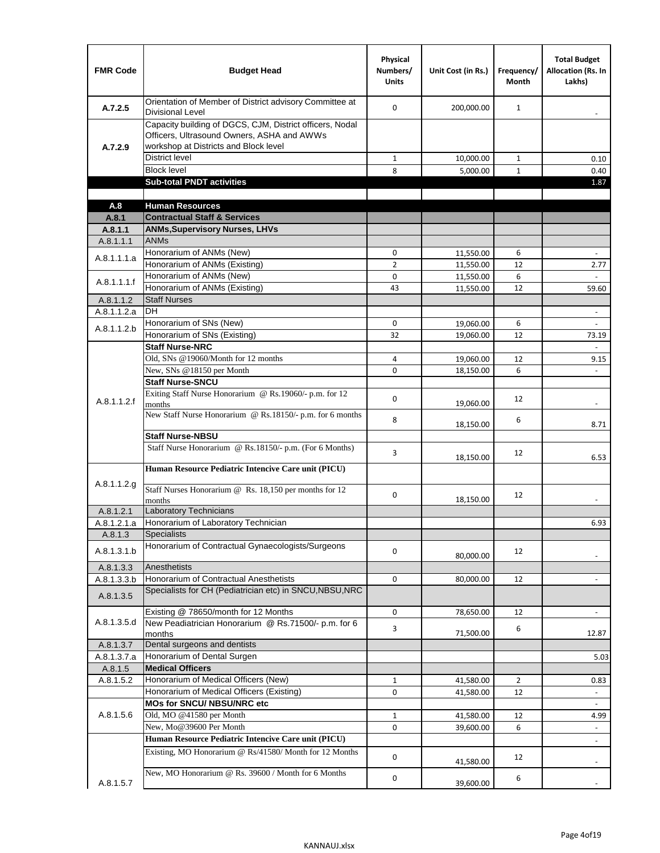| <b>FMR Code</b>      | <b>Budget Head</b>                                                                                                                              | Physical<br>Numbers/<br><b>Units</b> | Unit Cost (in Rs.)     | Frequency/<br><b>Month</b> | <b>Total Budget</b><br><b>Allocation (Rs. In</b><br>Lakhs) |
|----------------------|-------------------------------------------------------------------------------------------------------------------------------------------------|--------------------------------------|------------------------|----------------------------|------------------------------------------------------------|
| A.7.2.5              | Orientation of Member of District advisory Committee at<br><b>Divisional Level</b>                                                              | $\Omega$                             | 200,000.00             | $\mathbf{1}$               | $\overline{\phantom{m}}$                                   |
| A.7.2.9              | Capacity building of DGCS, CJM, District officers, Nodal<br>Officers, Ultrasound Owners, ASHA and AWWs<br>workshop at Districts and Block level |                                      |                        |                            |                                                            |
|                      | <b>District level</b>                                                                                                                           | $\mathbf{1}$                         | 10,000.00              | $\mathbf{1}$               | 0.10                                                       |
|                      | <b>Block level</b>                                                                                                                              | 8                                    | 5,000.00               | $\mathbf{1}$               | 0.40                                                       |
|                      | <b>Sub-total PNDT activities</b>                                                                                                                |                                      |                        |                            | 1.87                                                       |
|                      |                                                                                                                                                 |                                      |                        |                            |                                                            |
| A.8                  | <b>Human Resources</b>                                                                                                                          |                                      |                        |                            |                                                            |
| A.8.1                | <b>Contractual Staff &amp; Services</b>                                                                                                         |                                      |                        |                            |                                                            |
| A.8.1.1<br>A.8.1.1.1 | <b>ANMs, Supervisory Nurses, LHVs</b><br><b>ANMs</b>                                                                                            |                                      |                        |                            |                                                            |
|                      | Honorarium of ANMs (New)                                                                                                                        | 0                                    |                        | 6                          | $\overline{\phantom{a}}$                                   |
| A.8.1.1.1.a          | Honorarium of ANMs (Existing)                                                                                                                   | $\overline{2}$                       | 11,550.00              | 12                         |                                                            |
|                      | Honorarium of ANMs (New)                                                                                                                        | $\mathbf 0$                          | 11,550.00<br>11,550.00 | 6                          | 2.77                                                       |
| A.8.1.1.1.f          | Honorarium of ANMs (Existing)                                                                                                                   | 43                                   | 11,550.00              | 12                         | 59.60                                                      |
| A.8.1.1.2            | <b>Staff Nurses</b>                                                                                                                             |                                      |                        |                            |                                                            |
| A.8.1.1.2.a          | <b>DH</b>                                                                                                                                       |                                      |                        |                            | $\blacksquare$                                             |
|                      | Honorarium of SNs (New)                                                                                                                         | 0                                    | 19,060.00              | 6                          |                                                            |
| A.8.1.1.2.b          | Honorarium of SNs (Existing)                                                                                                                    | 32                                   | 19,060.00              | 12                         | 73.19                                                      |
|                      | <b>Staff Nurse-NRC</b>                                                                                                                          |                                      |                        |                            | $\overline{\phantom{a}}$                                   |
|                      | Old, SNs @19060/Month for 12 months                                                                                                             | 4                                    | 19,060.00              | 12                         | 9.15                                                       |
|                      | New, SNs @18150 per Month                                                                                                                       | 0                                    | 18,150.00              | 6                          |                                                            |
|                      | <b>Staff Nurse-SNCU</b>                                                                                                                         |                                      |                        |                            |                                                            |
| A.8.1.1.2.f          | Exiting Staff Nurse Honorarium @ Rs.19060/- p.m. for 12<br>months                                                                               | $\Omega$                             | 19,060.00              | 12                         | -                                                          |
|                      | New Staff Nurse Honorarium @ Rs.18150/- p.m. for 6 months                                                                                       | 8                                    | 18,150.00              | 6                          | 8.71                                                       |
|                      | <b>Staff Nurse-NBSU</b>                                                                                                                         |                                      |                        |                            |                                                            |
|                      | Staff Nurse Honorarium @ Rs.18150/- p.m. (For 6 Months)                                                                                         | 3                                    | 18,150.00              | 12                         | 6.53                                                       |
|                      | Human Resource Pediatric Intencive Care unit (PICU)                                                                                             |                                      |                        |                            |                                                            |
| A.8.1.1.2.g          | Staff Nurses Honorarium @ Rs. 18,150 per months for 12<br>months                                                                                | 0                                    | 18,150.00              | 12                         |                                                            |
| A.8.1.2.1            | <b>Laboratory Technicians</b>                                                                                                                   |                                      |                        |                            |                                                            |
| A.8.1.2.1.a          | Honorarium of Laboratory Technician                                                                                                             |                                      |                        |                            | 6.93                                                       |
| A.8.1.3              | <b>Specialists</b>                                                                                                                              |                                      |                        |                            |                                                            |
| A.8.1.3.1.b          | Honorarium of Contractual Gynaecologists/Surgeons                                                                                               | $\mathbf 0$                          | 80,000.00              | 12                         |                                                            |
| A.8.1.3.3            | Anesthetists                                                                                                                                    |                                      |                        |                            |                                                            |
| A.8.1.3.3.b          | Honorarium of Contractual Anesthetists                                                                                                          | 0                                    | 80,000.00              | 12                         |                                                            |
| A.8.1.3.5            | Specialists for CH (Pediatrician etc) in SNCU, NBSU, NRC                                                                                        |                                      |                        |                            |                                                            |
|                      | Existing @ 78650/month for 12 Months                                                                                                            | 0                                    | 78,650.00              | 12                         | $\blacksquare$                                             |
| A.8.1.3.5.d          | New Peadiatrician Honorarium @ Rs.71500/- p.m. for 6<br>months                                                                                  | 3                                    | 71,500.00              | 6                          | 12.87                                                      |
| A.8.1.3.7            | Dental surgeons and dentists                                                                                                                    |                                      |                        |                            |                                                            |
| A.8.1.3.7.a          | Honorarium of Dental Surgen                                                                                                                     |                                      |                        |                            | 5.03                                                       |
| A.8.1.5              | <b>Medical Officers</b>                                                                                                                         |                                      |                        |                            |                                                            |
| A.8.1.5.2            | Honorarium of Medical Officers (New)                                                                                                            | $\mathbf{1}$                         | 41,580.00              | $\overline{2}$             | 0.83                                                       |
|                      | Honorarium of Medical Officers (Existing)                                                                                                       | 0                                    | 41,580.00              | 12                         |                                                            |
|                      | MOs for SNCU/ NBSU/NRC etc                                                                                                                      |                                      |                        |                            |                                                            |
| A.8.1.5.6            | Old, MO @41580 per Month                                                                                                                        | $\mathbf{1}$                         | 41,580.00              | 12                         | 4.99                                                       |
|                      | New, Mo@39600 Per Month                                                                                                                         | 0                                    | 39,600.00              | 6                          | $\blacksquare$                                             |
|                      | Human Resource Pediatric Intencive Care unit (PICU)                                                                                             |                                      |                        |                            | $\frac{1}{2}$                                              |
|                      | Existing, MO Honorarium @ Rs/41580/ Month for 12 Months                                                                                         | $\mathbf 0$                          | 41,580.00              | 12                         |                                                            |
| A.8.1.5.7            | New, MO Honorarium @ Rs. 39600 / Month for 6 Months                                                                                             | 0                                    | 39,600.00              | 6                          |                                                            |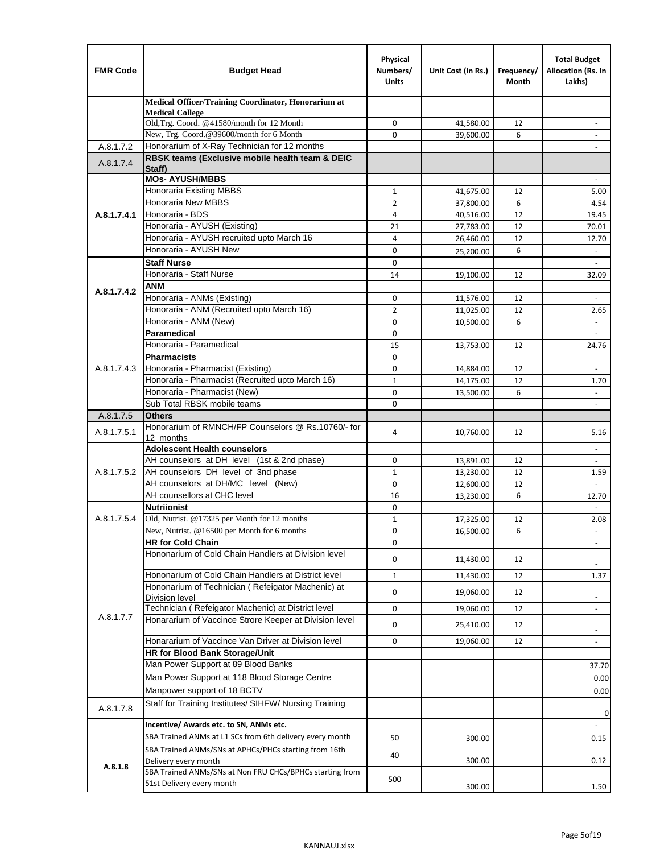| <b>FMR Code</b> | <b>Budget Head</b>                                                                    | Physical<br>Numbers/<br><b>Units</b> | Unit Cost (in Rs.)     | Frequency/<br>Month | <b>Total Budget</b><br>Allocation (Rs. In<br>Lakhs) |
|-----------------|---------------------------------------------------------------------------------------|--------------------------------------|------------------------|---------------------|-----------------------------------------------------|
|                 | Medical Officer/Training Coordinator, Honorarium at                                   |                                      |                        |                     |                                                     |
|                 | <b>Medical College</b><br>Old, Trg. Coord. @41580/month for 12 Month                  | $\mathbf 0$                          | 41,580.00              | 12                  |                                                     |
|                 | New, Trg. Coord.@39600/month for 6 Month                                              | $\Omega$                             | 39,600.00              | 6                   |                                                     |
| A.8.1.7.2       | Honorarium of X-Ray Technician for 12 months                                          |                                      |                        |                     |                                                     |
| A.8.1.7.4       | RBSK teams (Exclusive mobile health team & DEIC<br>Staff)                             |                                      |                        |                     |                                                     |
|                 | <b>MOs- AYUSH/MBBS</b>                                                                |                                      |                        |                     |                                                     |
|                 | <b>Honoraria Existing MBBS</b>                                                        | $\mathbf{1}$                         | 41,675.00              | 12                  | 5.00                                                |
|                 | Honoraria New MBBS                                                                    | $\overline{2}$                       | 37,800.00              | 6                   | 4.54                                                |
| A.8.1.7.4.1     | Honoraria - BDS                                                                       | 4                                    | 40,516.00              | 12                  | 19.45                                               |
|                 | Honoraria - AYUSH (Existing)                                                          | 21                                   | 27,783.00              | 12                  | 70.01                                               |
|                 | Honoraria - AYUSH recruited upto March 16                                             | 4                                    | 26,460.00              | 12                  | 12.70                                               |
|                 | Honoraria - AYUSH New                                                                 | 0                                    | 25,200.00              | 6                   | $\overline{\phantom{a}}$                            |
|                 | <b>Staff Nurse</b>                                                                    | $\Omega$                             |                        |                     |                                                     |
|                 | Honoraria - Staff Nurse                                                               | 14                                   | 19,100.00              | 12                  | 32.09                                               |
| A.8.1.7.4.2     | <b>ANM</b><br>Honoraria - ANMs (Existing)                                             | $\mathbf 0$                          |                        |                     | ÷,                                                  |
|                 | Honoraria - ANM (Recruited upto March 16)                                             | $\overline{2}$                       | 11,576.00<br>11,025.00 | 12<br>12            | 2.65                                                |
|                 | Honoraria - ANM (New)                                                                 | $\mathbf 0$                          | 10,500.00              | 6                   |                                                     |
|                 | Paramedical                                                                           | $\mathbf 0$                          |                        |                     | $\blacksquare$                                      |
|                 | Honoraria - Paramedical                                                               | 15                                   | 13,753.00              | 12                  | 24.76                                               |
|                 | <b>Pharmacists</b>                                                                    | $\mathbf 0$                          |                        |                     |                                                     |
| A.8.1.7.4.3     | Honoraria - Pharmacist (Existing)                                                     | $\mathbf 0$                          | 14,884.00              | 12                  | $\overline{\phantom{a}}$                            |
|                 | Honoraria - Pharmacist (Recruited upto March 16)                                      | $\mathbf{1}$                         | 14,175.00              | 12                  | 1.70                                                |
|                 | Honoraria - Pharmacist (New)                                                          | $\mathbf 0$                          | 13,500.00              | 6                   | ÷,                                                  |
|                 | Sub Total RBSK mobile teams                                                           | $\Omega$                             |                        |                     | $\overline{\phantom{a}}$                            |
| A.8.1.7.5       | <b>Others</b>                                                                         |                                      |                        |                     |                                                     |
| A.8.1.7.5.1     | Honorarium of RMNCH/FP Counselors @ Rs.10760/- for                                    | 4                                    | 10,760.00              | 12                  | 5.16                                                |
|                 | 12 months                                                                             |                                      |                        |                     |                                                     |
|                 | <b>Adolescent Health counselors</b>                                                   |                                      |                        |                     | $\sim$                                              |
|                 | AH counselors at DH level (1st & 2nd phase)                                           | 0                                    | 13,891.00              | 12                  |                                                     |
| A.8.1.7.5.2     | AH counselors DH level of 3nd phase<br>AH counselors at DH/MC level (New)             | $\mathbf{1}$<br>$\mathbf 0$          | 13,230.00              | 12<br>12            | 1.59                                                |
|                 | AH counsellors at CHC level                                                           | 16                                   | 12,600.00<br>13,230.00 | 6                   | 12.70                                               |
|                 | <b>Nutriionist</b>                                                                    | $\mathbf 0$                          |                        |                     | $\blacksquare$                                      |
| A.8.1.7.5.4     | Old, Nutrist. @17325 per Month for 12 months                                          | $\mathbf{1}$                         | 17,325.00              | 12                  | 2.08                                                |
|                 | New, Nutrist. $@16500$ per Month for 6 months                                         | 0                                    | 16,500.00              | 6                   | $\overline{\phantom{a}}$                            |
|                 | <b>HR for Cold Chain</b>                                                              | 0                                    |                        |                     |                                                     |
|                 | Hononarium of Cold Chain Handlers at Division level                                   | 0                                    | 11,430.00              | 12                  |                                                     |
|                 | Hononarium of Cold Chain Handlers at District level                                   | $\mathbf{1}$                         | 11,430.00              | 12                  | 1.37                                                |
|                 | Hononarium of Technician (Refeigator Machenic) at                                     | 0                                    | 19,060.00              | 12                  |                                                     |
|                 | <b>Division level</b>                                                                 |                                      |                        |                     | $\overline{\phantom{a}}$                            |
| A.8.1.7.7       | Technician (Refeigator Machenic) at District level                                    | 0                                    | 19,060.00              | 12                  | $\blacksquare$                                      |
|                 | Honararium of Vaccince Strore Keeper at Division level                                | 0                                    | 25,410.00              | 12                  | $\overline{\phantom{a}}$                            |
|                 | Honararium of Vaccince Van Driver at Division level                                   | 0                                    | 19,060.00              | 12                  | $\overline{\phantom{a}}$                            |
|                 | HR for Blood Bank Storage/Unit                                                        |                                      |                        |                     |                                                     |
|                 | Man Power Support at 89 Blood Banks                                                   |                                      |                        |                     | 37.70                                               |
|                 | Man Power Support at 118 Blood Storage Centre                                         |                                      |                        |                     | 0.00                                                |
|                 | Manpower support of 18 BCTV                                                           |                                      |                        |                     | 0.00                                                |
| A.8.1.7.8       | Staff for Training Institutes/ SIHFW/ Nursing Training                                |                                      |                        |                     | 0                                                   |
|                 | Incentive/ Awards etc. to SN, ANMs etc.                                               |                                      |                        |                     | $\blacksquare$                                      |
|                 | SBA Trained ANMs at L1 SCs from 6th delivery every month                              | 50                                   | 300.00                 |                     | 0.15                                                |
|                 | SBA Trained ANMs/SNs at APHCs/PHCs starting from 16th<br>Delivery every month         | 40                                   | 300.00                 |                     | 0.12                                                |
| A.8.1.8         | SBA Trained ANMs/SNs at Non FRU CHCs/BPHCs starting from<br>51st Delivery every month | 500                                  | 300.00                 |                     | 1.50                                                |
|                 |                                                                                       |                                      |                        |                     |                                                     |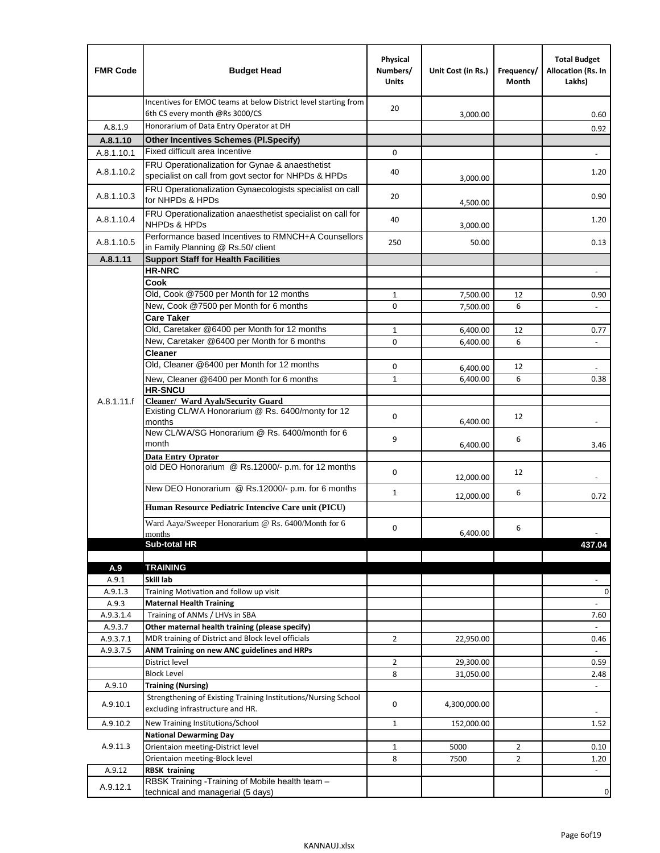| <b>FMR Code</b>  | <b>Budget Head</b>                                                                                      | Physical<br>Numbers/<br><b>Units</b> | Unit Cost (in Rs.) | Frequency/<br>Month | <b>Total Budget</b><br>Allocation (Rs. In<br>Lakhs) |
|------------------|---------------------------------------------------------------------------------------------------------|--------------------------------------|--------------------|---------------------|-----------------------------------------------------|
|                  | Incentives for EMOC teams at below District level starting from<br>6th CS every month @Rs 3000/CS       | 20                                   | 3,000.00           |                     | 0.60                                                |
| A.8.1.9          | Honorarium of Data Entry Operator at DH                                                                 |                                      |                    |                     | 0.92                                                |
| A.8.1.10         | <b>Other Incentives Schemes (PI.Specify)</b>                                                            |                                      |                    |                     |                                                     |
| A.8.1.10.1       | Fixed difficult area Incentive                                                                          | $\mathbf 0$                          |                    |                     |                                                     |
| A.8.1.10.2       | FRU Operationalization for Gynae & anaesthetist<br>specialist on call from govt sector for NHPDs & HPDs | 40                                   | 3,000.00           |                     | 1.20                                                |
| A.8.1.10.3       | FRU Operationalization Gynaecologists specialist on call<br>for NHPDs & HPDs                            | 20                                   | 4,500.00           |                     | 0.90                                                |
| A.8.1.10.4       | FRU Operationalization anaesthetist specialist on call for<br><b>NHPDs &amp; HPDs</b>                   | 40                                   | 3,000.00           |                     | 1.20                                                |
| A.8.1.10.5       | Performance based Incentives to RMNCH+A Counsellors<br>in Family Planning @ Rs.50/ client               | 250                                  | 50.00              |                     | 0.13                                                |
| A.8.1.11         | <b>Support Staff for Health Facilities</b>                                                              |                                      |                    |                     |                                                     |
|                  | <b>HR-NRC</b>                                                                                           |                                      |                    |                     | $\overline{\phantom{m}}$                            |
|                  | Cook                                                                                                    |                                      |                    |                     |                                                     |
|                  | Old, Cook @7500 per Month for 12 months                                                                 | $\mathbf{1}$                         | 7,500.00           | 12                  | 0.90                                                |
|                  | New, Cook @7500 per Month for 6 months                                                                  | 0                                    | 7,500.00           | 6                   | $\Box$                                              |
|                  | <b>Care Taker</b><br>Old, Caretaker @6400 per Month for 12 months                                       | $\mathbf{1}$                         | 6,400.00           | 12                  |                                                     |
|                  | New, Caretaker @6400 per Month for 6 months                                                             | 0                                    | 6,400.00           | 6                   | 0.77<br>÷,                                          |
|                  | <b>Cleaner</b>                                                                                          |                                      |                    |                     |                                                     |
|                  | Old, Cleaner @6400 per Month for 12 months                                                              | 0                                    | 6,400.00           | 12                  |                                                     |
|                  | New, Cleaner @6400 per Month for 6 months                                                               | $\mathbf{1}$                         | 6,400.00           | 6                   | 0.38                                                |
|                  | <b>HR-SNCU</b>                                                                                          |                                      |                    |                     |                                                     |
| A.8.1.11.f       | Cleaner/ Ward Ayah/Security Guard                                                                       |                                      |                    |                     |                                                     |
|                  | Existing CL/WA Honorarium @ Rs. 6400/monty for 12<br>months                                             | $\mathbf 0$                          | 6,400.00           | 12                  |                                                     |
|                  | New CL/WA/SG Honorarium @ Rs. 6400/month for 6<br>month                                                 | 9                                    | 6,400.00           | 6                   | 3.46                                                |
|                  | <b>Data Entry Oprator</b>                                                                               |                                      |                    |                     |                                                     |
|                  | old DEO Honorarium @ Rs.12000/- p.m. for 12 months<br>New DEO Honorarium @ Rs.12000/- p.m. for 6 months | $\mathbf 0$                          | 12,000.00          | 12                  |                                                     |
|                  |                                                                                                         | $\mathbf{1}$                         | 12,000.00          | 6                   | 0.72                                                |
|                  | Human Resource Pediatric Intencive Care unit (PICU)                                                     |                                      |                    |                     |                                                     |
|                  | Ward Aaya/Sweeper Honorarium @ Rs. 6400/Month for 6                                                     |                                      |                    |                     |                                                     |
|                  | months                                                                                                  | $\mathbf 0$                          | 6,400.00           | 6                   |                                                     |
|                  | Sub-total HR                                                                                            |                                      |                    |                     | 437.04                                              |
|                  |                                                                                                         |                                      |                    |                     |                                                     |
| A.9              | <b>TRAINING</b><br>Skill lab                                                                            |                                      |                    |                     |                                                     |
| A.9.1<br>A.9.1.3 | Training Motivation and follow up visit                                                                 |                                      |                    |                     | 0                                                   |
| A.9.3            | <b>Maternal Health Training</b>                                                                         |                                      |                    |                     |                                                     |
| A.9.3.1.4        | Training of ANMs / LHVs in SBA                                                                          |                                      |                    |                     | 7.60                                                |
| A.9.3.7          | Other maternal health training (please specify)                                                         |                                      |                    |                     |                                                     |
| A.9.3.7.1        | MDR training of District and Block level officials                                                      | $\overline{2}$                       | 22,950.00          |                     | 0.46                                                |
| A.9.3.7.5        | ANM Training on new ANC guidelines and HRPs                                                             |                                      |                    |                     |                                                     |
|                  | District level                                                                                          | $\overline{2}$                       | 29,300.00          |                     | 0.59                                                |
|                  | <b>Block Level</b>                                                                                      | 8                                    | 31,050.00          |                     | 2.48                                                |
| A.9.10           | <b>Training (Nursing)</b>                                                                               |                                      |                    |                     | $\blacksquare$                                      |
| A.9.10.1         | Strengthening of Existing Training Institutions/Nursing School<br>excluding infrastructure and HR.      | 0                                    | 4,300,000.00       |                     |                                                     |
| A.9.10.2         | New Training Institutions/School                                                                        | $\mathbf{1}$                         | 152,000.00         |                     | 1.52                                                |
|                  | <b>National Dewarming Day</b>                                                                           |                                      |                    |                     |                                                     |
| A.9.11.3         | Orientaion meeting-District level                                                                       | $\mathbf 1$                          | 5000               | $\overline{2}$      | 0.10                                                |
|                  | Orientaion meeting-Block level                                                                          | 8                                    | 7500               | $\overline{2}$      | 1.20                                                |
| A.9.12           | <b>RBSK training</b>                                                                                    |                                      |                    |                     |                                                     |
| A.9.12.1         | RBSK Training -Training of Mobile health team -<br>technical and managerial (5 days)                    |                                      |                    |                     | 0                                                   |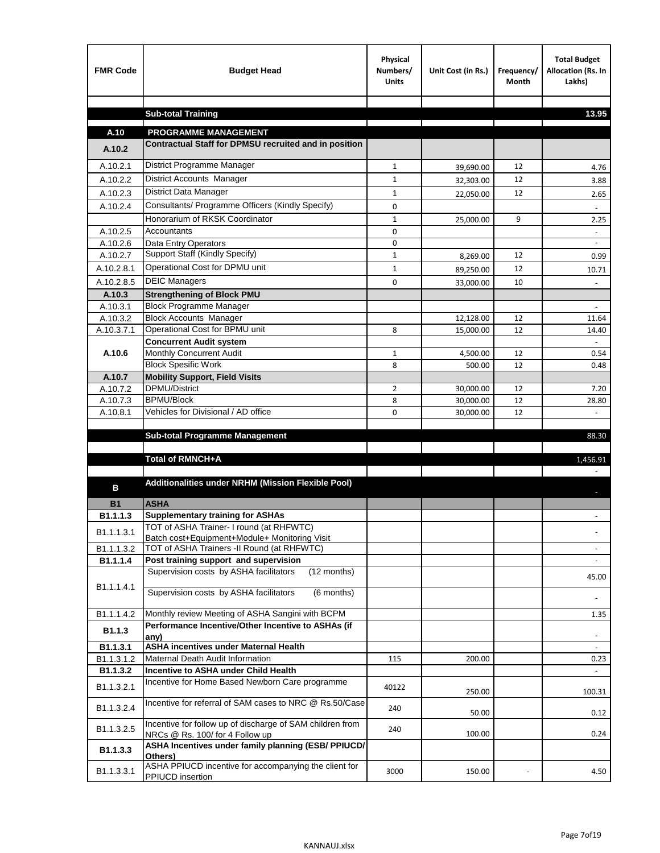| <b>FMR Code</b>       | <b>Budget Head</b>                                                                           | Physical<br>Numbers/<br><b>Units</b> | Unit Cost (in Rs.) | Frequency/<br><b>Month</b> | <b>Total Budget</b><br>Allocation (Rs. In<br>Lakhs) |
|-----------------------|----------------------------------------------------------------------------------------------|--------------------------------------|--------------------|----------------------------|-----------------------------------------------------|
|                       | <b>Sub-total Training</b>                                                                    |                                      |                    |                            | 13.95                                               |
|                       |                                                                                              |                                      |                    |                            |                                                     |
| A.10                  | <b>PROGRAMME MANAGEMENT</b>                                                                  |                                      |                    |                            |                                                     |
| A.10.2                | Contractual Staff for DPMSU recruited and in position                                        |                                      |                    |                            |                                                     |
| A.10.2.1              | District Programme Manager                                                                   | $\mathbf{1}$                         | 39,690.00          | 12                         | 4.76                                                |
| A.10.2.2              | District Accounts Manager                                                                    | 1                                    | 32,303.00          | 12                         | 3.88                                                |
| A.10.2.3              | District Data Manager                                                                        | $\mathbf{1}$                         | 22,050.00          | 12                         | 2.65                                                |
| A.10.2.4              | Consultants/ Programme Officers (Kindly Specify)                                             | $\mathbf 0$                          |                    |                            |                                                     |
|                       | Honorarium of RKSK Coordinator                                                               | $\mathbf{1}$                         | 25,000.00          | 9                          | 2.25                                                |
| A.10.2.5              | Accountants                                                                                  | 0                                    |                    |                            |                                                     |
| A.10.2.6              | Data Entry Operators                                                                         | 0                                    |                    |                            | $\overline{\phantom{a}}$                            |
| A.10.2.7              | Support Staff (Kindly Specify)                                                               | $\mathbf{1}$                         | 8,269.00           | 12                         | 0.99                                                |
| A.10.2.8.1            | Operational Cost for DPMU unit                                                               | $\mathbf{1}$                         | 89,250.00          | 12                         | 10.71                                               |
| A.10.2.8.5            | <b>DEIC Managers</b>                                                                         | $\mathbf 0$                          | 33,000.00          | 10                         |                                                     |
| A.10.3                | <b>Strengthening of Block PMU</b>                                                            |                                      |                    |                            |                                                     |
| A.10.3.1              | <b>Block Programme Manager</b>                                                               |                                      |                    |                            |                                                     |
| A.10.3.2              | <b>Block Accounts Manager</b>                                                                |                                      | 12,128.00          | 12                         | 11.64                                               |
| A.10.3.7.1            | Operational Cost for BPMU unit<br><b>Concurrent Audit system</b>                             | 8                                    | 15,000.00          | 12                         | 14.40                                               |
| A.10.6                | Monthly Concurrent Audit                                                                     | $\mathbf{1}$                         | 4,500.00           | 12                         | 0.54                                                |
|                       | <b>Block Spesific Work</b>                                                                   | 8                                    | 500.00             | 12                         | 0.48                                                |
| A.10.7                | <b>Mobility Support, Field Visits</b>                                                        |                                      |                    |                            |                                                     |
| A.10.7.2              | <b>DPMU/District</b>                                                                         | 2                                    | 30,000.00          | 12                         | 7.20                                                |
| A.10.7.3              | <b>BPMU/Block</b>                                                                            | 8                                    | 30,000.00          | 12                         | 28.80                                               |
| A.10.8.1              | Vehicles for Divisional / AD office                                                          | 0                                    | 30,000.00          | 12                         |                                                     |
|                       |                                                                                              |                                      |                    |                            |                                                     |
|                       | <b>Sub-total Programme Management</b>                                                        |                                      |                    |                            | 88.30                                               |
|                       | Total of RMNCH+A                                                                             |                                      |                    |                            | 1,456.91                                            |
|                       |                                                                                              |                                      |                    |                            |                                                     |
| в                     | Additionalities under NRHM (Mission Flexible Pool)                                           |                                      |                    |                            |                                                     |
|                       |                                                                                              |                                      |                    |                            |                                                     |
| <b>B1</b><br>B1.1.1.3 | <b>ASHA</b><br><b>Supplementary training for ASHAs</b>                                       |                                      |                    |                            |                                                     |
|                       | TOT of ASHA Trainer- I round (at RHFWTC)                                                     |                                      |                    |                            |                                                     |
| B1.1.1.3.1            | Batch cost+Equipment+Module+ Monitoring Visit                                                |                                      |                    |                            |                                                     |
| B1.1.1.3.2            | TOT of ASHA Trainers -II Round (at RHFWTC)                                                   |                                      |                    |                            |                                                     |
| B1.1.1.4              | Post training support and supervision                                                        |                                      |                    |                            | $\sim$                                              |
|                       | Supervision costs by ASHA facilitators<br>(12 months)                                        |                                      |                    |                            | 45.00                                               |
| B1.1.1.4.1            | Supervision costs by ASHA facilitators<br>(6 months)                                         |                                      |                    |                            |                                                     |
|                       |                                                                                              |                                      |                    |                            |                                                     |
| B1.1.1.4.2            | Monthly review Meeting of ASHA Sangini with BCPM                                             |                                      |                    |                            | 1.35                                                |
| B <sub>1.1.3</sub>    | Performance Incentive/Other Incentive to ASHAs (if                                           |                                      |                    |                            |                                                     |
| B1.1.3.1              | any)<br><b>ASHA incentives under Maternal Health</b>                                         |                                      |                    |                            |                                                     |
| B1.1.3.1.2            | Maternal Death Audit Information                                                             | 115                                  | 200.00             |                            | 0.23                                                |
| B1.1.3.2              | Incentive to ASHA under Child Health                                                         |                                      |                    |                            | ÷.                                                  |
| B1.1.3.2.1            | Incentive for Home Based Newborn Care programme                                              | 40122                                | 250.00             |                            | 100.31                                              |
| B1.1.3.2.4            | Incentive for referral of SAM cases to NRC @ Rs.50/Case                                      | 240                                  | 50.00              |                            | 0.12                                                |
| B1.1.3.2.5            | Incentive for follow up of discharge of SAM children from<br>NRCs @ Rs. 100/ for 4 Follow up | 240                                  | 100.00             |                            | 0.24                                                |
| B1.1.3.3              | ASHA Incentives under family planning (ESB/ PPIUCD/<br>Others)                               |                                      |                    |                            |                                                     |
| B1.1.3.3.1            | ASHA PPIUCD incentive for accompanying the client for<br>PPIUCD insertion                    | 3000                                 | 150.00             |                            | 4.50                                                |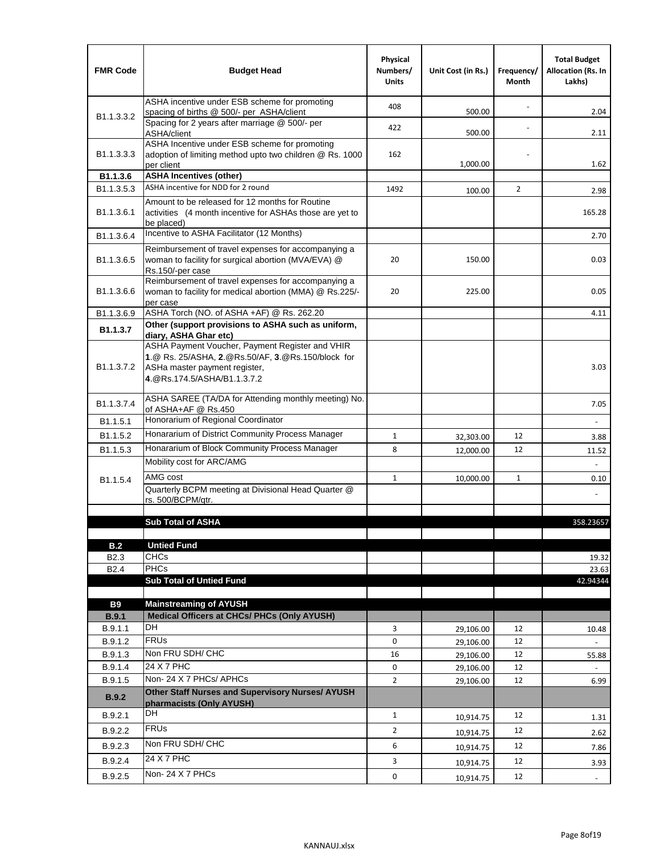| <b>FMR Code</b>            | <b>Budget Head</b>                                                                                                                                                    | Physical<br>Numbers/<br><b>Units</b> | Unit Cost (in Rs.) | Frequency/<br>Month | <b>Total Budget</b><br><b>Allocation (Rs. In</b><br>Lakhs) |
|----------------------------|-----------------------------------------------------------------------------------------------------------------------------------------------------------------------|--------------------------------------|--------------------|---------------------|------------------------------------------------------------|
|                            | ASHA incentive under ESB scheme for promoting<br>spacing of births @ 500/- per ASHA/client                                                                            | 408                                  | 500.00             |                     | 2.04                                                       |
| B <sub>1.1</sub> , 3, 3, 2 | Spacing for 2 years after marriage @ 500/- per<br>ASHA/client                                                                                                         | 422                                  | 500.00             |                     | 2.11                                                       |
| B1.1.3.3.3                 | ASHA Incentive under ESB scheme for promoting<br>adoption of limiting method upto two children @ Rs. 1000<br>per client                                               | 162                                  | 1,000.00           |                     | 1.62                                                       |
| B1.1.3.6                   | <b>ASHA Incentives (other)</b>                                                                                                                                        |                                      |                    |                     |                                                            |
| B <sub>1.1</sub> , 3, 5, 3 | ASHA incentive for NDD for 2 round                                                                                                                                    | 1492                                 | 100.00             | $\overline{2}$      | 2.98                                                       |
| B <sub>1.1</sub> .3.6.1    | Amount to be released for 12 months for Routine<br>activities (4 month incentive for ASHAs those are yet to<br>be placed)                                             |                                      |                    |                     | 165.28                                                     |
| B1.1.3.6.4                 | Incentive to ASHA Facilitator (12 Months)                                                                                                                             |                                      |                    |                     | 2.70                                                       |
| B <sub>1.1</sub> .3.6.5    | Reimbursement of travel expenses for accompanying a<br>woman to facility for surgical abortion (MVA/EVA) @<br>Rs.150/-per case                                        | 20                                   | 150.00             |                     | 0.03                                                       |
| B <sub>1.1</sub> .3.6.6    | Reimbursement of travel expenses for accompanying a<br>woman to facility for medical abortion (MMA) @ Rs.225/-<br>per case                                            | 20                                   | 225.00             |                     | 0.05                                                       |
| B1.1.3.6.9                 | ASHA Torch (NO. of ASHA +AF) @ Rs. 262.20                                                                                                                             |                                      |                    |                     | 4.11                                                       |
| B1.1.3.7                   | Other (support provisions to ASHA such as uniform,<br>diary, ASHA Ghar etc)                                                                                           |                                      |                    |                     |                                                            |
| B <sub>1.1</sub> .3.7.2    | ASHA Payment Voucher, Payment Register and VHIR<br>1.@ Rs. 25/ASHA, 2.@Rs.50/AF, 3.@Rs.150/block for<br>ASHa master payment register,<br>4. @Rs.174.5/ASHA/B1.1.3.7.2 |                                      |                    |                     | 3.03                                                       |
| B <sub>1.1</sub> , 3.7.4   | ASHA SAREE (TA/DA for Attending monthly meeting) No.<br>of ASHA+AF @ Rs.450                                                                                           |                                      |                    |                     | 7.05                                                       |
| B1.1.5.1                   | Honorarium of Regional Coordinator                                                                                                                                    |                                      |                    |                     |                                                            |
| B <sub>1.1.5.2</sub>       | Honararium of District Community Process Manager                                                                                                                      | $\mathbf{1}$                         | 32,303.00          | 12                  | 3.88                                                       |
| B1.1.5.3                   | Honararium of Block Community Process Manager                                                                                                                         | 8                                    | 12,000.00          | 12                  | 11.52                                                      |
|                            | Mobility cost for ARC/AMG                                                                                                                                             |                                      |                    |                     |                                                            |
| B <sub>1.1.5.4</sub>       | AMG cost                                                                                                                                                              | $\mathbf{1}$                         | 10,000.00          | $\mathbf{1}$        | 0.10                                                       |
|                            | Quarterly BCPM meeting at Divisional Head Quarter @                                                                                                                   |                                      |                    |                     |                                                            |
|                            | rs. 500/BCPM/atr.                                                                                                                                                     |                                      |                    |                     |                                                            |
|                            | <b>Sub Total of ASHA</b>                                                                                                                                              |                                      |                    |                     |                                                            |
|                            |                                                                                                                                                                       |                                      |                    |                     | 358.23657                                                  |
| B.2                        | <b>Untied Fund</b>                                                                                                                                                    |                                      |                    |                     |                                                            |
| B <sub>2.3</sub>           | <b>CHCs</b>                                                                                                                                                           |                                      |                    |                     | 19.32                                                      |
| B <sub>2.4</sub>           | <b>PHCs</b>                                                                                                                                                           |                                      |                    |                     | 23.63                                                      |
|                            | <b>Sub Total of Untied Fund</b>                                                                                                                                       |                                      |                    |                     | 42.94344                                                   |
| <b>B9</b>                  | <b>Mainstreaming of AYUSH</b>                                                                                                                                         |                                      |                    |                     |                                                            |
| B.9.1                      | Medical Officers at CHCs/ PHCs (Only AYUSH)                                                                                                                           |                                      |                    |                     |                                                            |
| B.9.1.1                    | <b>DH</b>                                                                                                                                                             | 3                                    | 29,106.00          | 12                  | 10.48                                                      |
| B.9.1.2                    | <b>FRU<sub>s</sub></b>                                                                                                                                                | 0                                    | 29,106.00          | 12                  |                                                            |
| B.9.1.3                    | Non FRU SDH/ CHC                                                                                                                                                      | 16                                   | 29,106.00          | 12                  | 55.88                                                      |
| B.9.1.4                    | 24 X 7 PHC                                                                                                                                                            | 0                                    | 29,106.00          | 12                  |                                                            |
| B.9.1.5                    | Non-24 X 7 PHCs/ APHCs                                                                                                                                                | $\overline{2}$                       | 29,106.00          | 12                  | 6.99                                                       |
| B.9.2                      | Other Staff Nurses and Supervisory Nurses/ AYUSH<br>pharmacists (Only AYUSH)                                                                                          |                                      |                    |                     |                                                            |
| B.9.2.1                    | DH                                                                                                                                                                    | $\mathbf{1}$                         | 10,914.75          | 12                  | 1.31                                                       |
| B.9.2.2                    | <b>FRUs</b>                                                                                                                                                           | $\overline{2}$                       | 10,914.75          | 12                  | 2.62                                                       |
| B.9.2.3                    | Non FRU SDH/ CHC                                                                                                                                                      | 6                                    | 10,914.75          | 12                  | 7.86                                                       |
| B.9.2.4                    | 24 X 7 PHC                                                                                                                                                            | 3                                    |                    | 12                  |                                                            |
|                            | Non-24 X 7 PHCs                                                                                                                                                       |                                      | 10,914.75          |                     | 3.93                                                       |
| B.9.2.5                    |                                                                                                                                                                       | 0                                    | 10,914.75          | 12                  | $\overline{\phantom{a}}$                                   |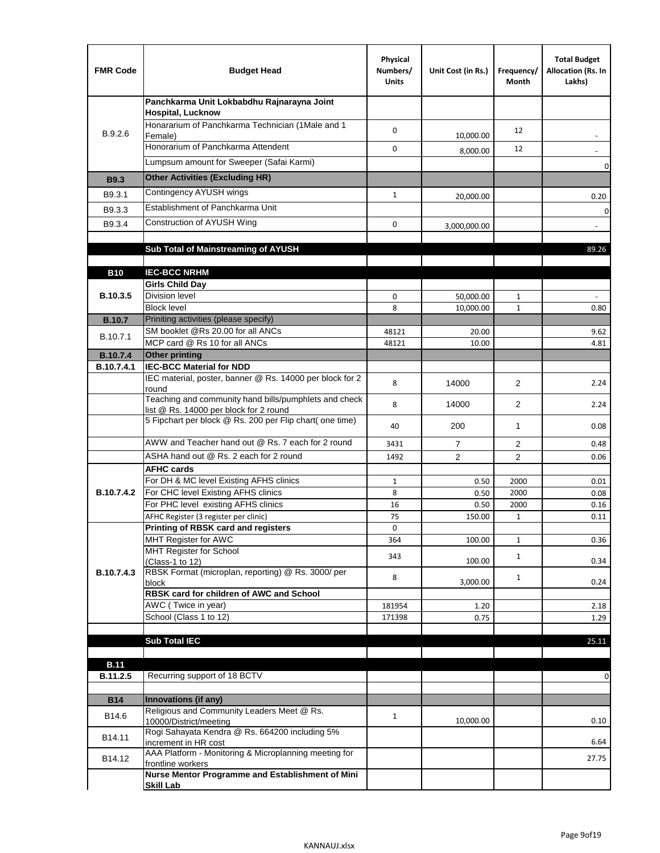| <b>FMR Code</b>   | <b>Budget Head</b>                                                                              | Physical<br>Numbers/<br><b>Units</b> | Unit Cost (in Rs.) | Frequency/<br>Month | <b>Total Budget</b><br>Allocation (Rs. In<br>Lakhs) |
|-------------------|-------------------------------------------------------------------------------------------------|--------------------------------------|--------------------|---------------------|-----------------------------------------------------|
|                   | Panchkarma Unit Lokbabdhu Rajnarayna Joint<br><b>Hospital, Lucknow</b>                          |                                      |                    |                     |                                                     |
| B.9.2.6           | Honararium of Panchkarma Technician (1Male and 1<br>Female)                                     | 0                                    | 10,000.00          | 12                  |                                                     |
|                   | Honorarium of Panchkarma Attendent                                                              | 0                                    | 8,000.00           | 12                  |                                                     |
|                   | Lumpsum amount for Sweeper (Safai Karmi)                                                        |                                      |                    |                     | 0                                                   |
| <b>B9.3</b>       | <b>Other Activities (Excluding HR)</b>                                                          |                                      |                    |                     |                                                     |
| B9.3.1            | Contingency AYUSH wings                                                                         | $\mathbf{1}$                         | 20,000.00          |                     | 0.20                                                |
| B9.3.3            | Establishment of Panchkarma Unit                                                                |                                      |                    |                     | $\mathbf 0$                                         |
| B9.3.4            | Construction of AYUSH Wing                                                                      | 0                                    | 3,000,000.00       |                     |                                                     |
|                   |                                                                                                 |                                      |                    |                     |                                                     |
|                   | Sub Total of Mainstreaming of AYUSH                                                             |                                      |                    |                     | 89.26                                               |
|                   |                                                                                                 |                                      |                    |                     |                                                     |
| <b>B10</b>        | <b>IEC-BCC NRHM</b><br><b>Girls Child Day</b>                                                   |                                      |                    |                     |                                                     |
| B.10.3.5          | <b>Division level</b>                                                                           | 0                                    | 50,000.00          | 1                   |                                                     |
|                   | <b>Block level</b>                                                                              | 8                                    | 10,000.00          | $\mathbf{1}$        | 0.80                                                |
| <b>B.10.7</b>     | Priniting activities (please specify)                                                           |                                      |                    |                     |                                                     |
| B.10.7.1          | SM booklet @Rs 20.00 for all ANCs<br>MCP card @ Rs 10 for all ANCs                              | 48121                                | 20.00              |                     | 9.62                                                |
| <b>B.10.7.4</b>   | <b>Other printing</b>                                                                           | 48121                                | 10.00              |                     | 4.81                                                |
| B.10.7.4.1        | <b>IEC-BCC Material for NDD</b>                                                                 |                                      |                    |                     |                                                     |
|                   | IEC material, poster, banner @ Rs. 14000 per block for 2<br>round                               | 8                                    | 14000              | $\overline{2}$      | 2.24                                                |
|                   | Teaching and community hand bills/pumphlets and check<br>list @ Rs. 14000 per block for 2 round | 8                                    | 14000              | 2                   | 2.24                                                |
|                   | 5 Fipchart per block @ Rs. 200 per Flip chart( one time)                                        | 40                                   | 200                | 1                   | 0.08                                                |
|                   | AWW and Teacher hand out @ Rs. 7 each for 2 round                                               | 3431                                 | $\overline{7}$     | 2                   | 0.48                                                |
|                   | ASHA hand out @ Rs. 2 each for 2 round                                                          | 1492                                 | $\overline{2}$     | 2                   | 0.06                                                |
|                   | <b>AFHC cards</b><br>For DH & MC level Existing AFHS clinics                                    |                                      |                    |                     |                                                     |
| <b>B.10.7.4.2</b> | For CHC level Existing AFHS clinics                                                             | $\mathbf{1}$<br>8                    | 0.50<br>0.50       | 2000<br>2000        | 0.01<br>0.08                                        |
|                   | For PHC level existing AFHS clinics                                                             | 16                                   | 0.50               | 2000                | 0.16                                                |
|                   | AFHC Register (3 register per clinic)                                                           | 75                                   | 150.00             | $\mathbf{1}$        | 0.11                                                |
|                   | Printing of RBSK card and registers                                                             | 0                                    |                    |                     |                                                     |
|                   | MHT Register for AWC<br>MHT Register for School                                                 | 364                                  | 100.00             | $\mathbf{1}$        | 0.36                                                |
|                   | (Class-1 to 12)                                                                                 | 343                                  | 100.00             | $\mathbf{1}$        | 0.34                                                |
| B.10.7.4.3        | RBSK Format (microplan, reporting) @ Rs. 3000/ per<br>block                                     | 8                                    | 3,000.00           | $\mathbf{1}$        | 0.24                                                |
|                   | RBSK card for children of AWC and School                                                        |                                      |                    |                     |                                                     |
|                   | AWC (Twice in year)                                                                             | 181954                               | 1.20               |                     | 2.18                                                |
|                   | School (Class 1 to 12)                                                                          | 171398                               | 0.75               |                     | 1.29                                                |
|                   | <b>Sub Total IEC</b>                                                                            |                                      |                    |                     |                                                     |
|                   |                                                                                                 |                                      |                    |                     | 25.11                                               |
| <b>B.11</b>       |                                                                                                 |                                      |                    |                     |                                                     |
| B.11.2.5          | Recurring support of 18 BCTV                                                                    |                                      |                    |                     | 0                                                   |
|                   |                                                                                                 |                                      |                    |                     |                                                     |
| <b>B14</b>        | Innovations (if any)<br>Religious and Community Leaders Meet @ Rs.                              |                                      |                    |                     |                                                     |
| B14.6             | 10000/District/meeting                                                                          | $\mathbf{1}$                         | 10,000.00          |                     | 0.10                                                |
| B14.11            | Rogi Sahayata Kendra @ Rs. 664200 including 5%                                                  |                                      |                    |                     |                                                     |
| B14.12            | increment in HR cost<br>AAA Platform - Monitoring & Microplanning meeting for                   |                                      |                    |                     | 6.64<br>27.75                                       |
|                   | frontline workers<br>Nurse Mentor Programme and Establishment of Mini                           |                                      |                    |                     |                                                     |
|                   | <b>Skill Lab</b>                                                                                |                                      |                    |                     |                                                     |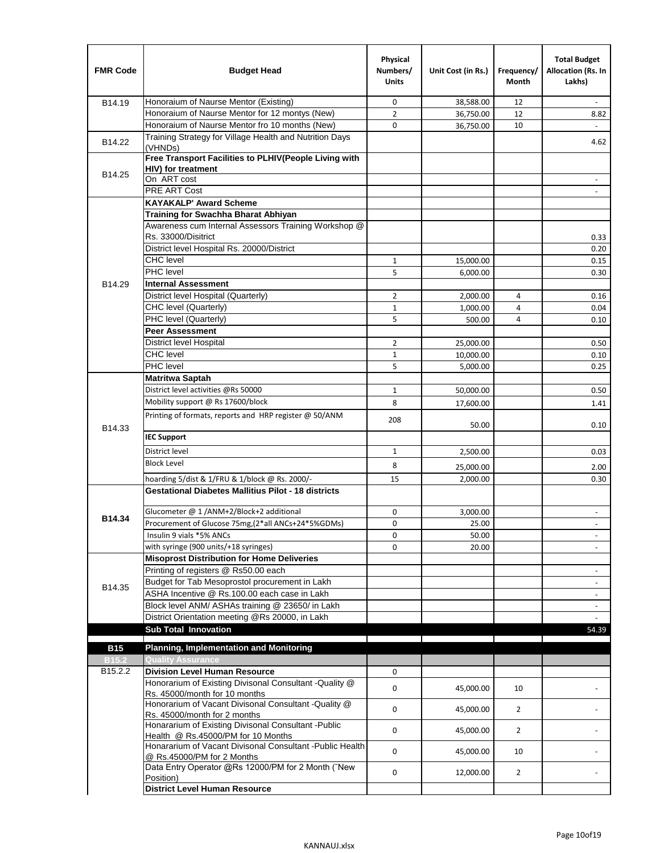| <b>FMR Code</b>   | <b>Budget Head</b>                                                                      | Physical<br>Numbers/<br><b>Units</b> | Unit Cost (in Rs.) | Frequency/<br><b>Month</b> | <b>Total Budget</b><br>Allocation (Rs. In<br>Lakhs) |
|-------------------|-----------------------------------------------------------------------------------------|--------------------------------------|--------------------|----------------------------|-----------------------------------------------------|
| B14.19            | Honoraium of Naurse Mentor (Existing)                                                   | 0                                    | 38,588.00          | 12                         |                                                     |
|                   | Honoraium of Naurse Mentor for 12 montys (New)                                          | $\overline{2}$                       | 36,750.00          | 12                         | 8.82                                                |
|                   | Honoraium of Naurse Mentor fro 10 months (New)                                          | 0                                    | 36,750.00          | 10                         | $\omega$                                            |
| B14.22            | Training Strategy for Village Health and Nutrition Days<br>(VHNDs)                      |                                      |                    |                            | 4.62                                                |
|                   | Free Transport Facilities to PLHIV(People Living with                                   |                                      |                    |                            |                                                     |
| B14.25            | <b>HIV)</b> for treatment                                                               |                                      |                    |                            |                                                     |
|                   | On ART cost                                                                             |                                      |                    |                            |                                                     |
|                   | PRE ART Cost                                                                            |                                      |                    |                            |                                                     |
|                   | <b>KAYAKALP' Award Scheme</b>                                                           |                                      |                    |                            |                                                     |
|                   | Training for Swachha Bharat Abhiyan                                                     |                                      |                    |                            |                                                     |
|                   | Awareness cum Internal Assessors Training Workshop @<br>Rs. 33000/Disitrict             |                                      |                    |                            |                                                     |
|                   | District level Hospital Rs. 20000/District                                              |                                      |                    |                            | 0.33<br>0.20                                        |
|                   | <b>CHC</b> level                                                                        | $\mathbf{1}$                         | 15,000.00          |                            | 0.15                                                |
|                   | <b>PHC</b> level                                                                        | 5                                    | 6,000.00           |                            | 0.30                                                |
| B14.29            | <b>Internal Assessment</b>                                                              |                                      |                    |                            |                                                     |
|                   | District level Hospital (Quarterly)                                                     | 2                                    | 2,000.00           | 4                          | 0.16                                                |
|                   | CHC level (Quarterly)                                                                   | $\mathbf{1}$                         | 1,000.00           | 4                          | 0.04                                                |
|                   | PHC level (Quarterly)                                                                   | 5                                    | 500.00             | 4                          | 0.10                                                |
|                   | <b>Peer Assessment</b>                                                                  |                                      |                    |                            |                                                     |
|                   | <b>District level Hospital</b>                                                          | $\overline{2}$                       | 25.000.00          |                            | 0.50                                                |
|                   | <b>CHC</b> level                                                                        | $\mathbf{1}$                         | 10,000.00          |                            | 0.10                                                |
|                   | PHC level                                                                               | 5                                    | 5,000.00           |                            | 0.25                                                |
|                   | Matritwa Saptah                                                                         |                                      |                    |                            |                                                     |
|                   | District level activities @Rs 50000                                                     | $\mathbf{1}$                         | 50,000.00          |                            | 0.50                                                |
|                   | Mobility support @ Rs 17600/block                                                       | 8                                    |                    |                            |                                                     |
|                   | Printing of formats, reports and HRP register @ 50/ANM                                  |                                      | 17,600.00          |                            | 1.41                                                |
| B14.33            | <b>IEC Support</b>                                                                      | 208                                  | 50.00              |                            | 0.10                                                |
|                   |                                                                                         |                                      |                    |                            |                                                     |
|                   | District level                                                                          | $\mathbf{1}$                         | 2,500.00           |                            | 0.03                                                |
|                   | <b>Block Level</b>                                                                      | 8                                    | 25,000.00          |                            | 2.00                                                |
|                   | hoarding 5/dist & 1/FRU & 1/block @ Rs. 2000/-                                          | 15                                   | 2,000.00           |                            | 0.30                                                |
|                   | <b>Gestational Diabetes Mallitius Pilot - 18 districts</b>                              |                                      |                    |                            |                                                     |
|                   | Glucometer @ 1 /ANM+2/Block+2 additional                                                | 0                                    | 3,000.00           |                            | $\overline{\phantom{a}}$                            |
| B14.34            | Procurement of Glucose 75mg, (2*all ANCs+24*5%GDMs)                                     | 0                                    | 25.00              |                            |                                                     |
|                   | Insulin 9 vials *5% ANCs                                                                | 0                                    | 50.00              |                            | $\blacksquare$                                      |
|                   | with syringe (900 units/+18 syringes)                                                   | 0                                    | 20.00              |                            |                                                     |
|                   | <b>Misoprost Distribution for Home Deliveries</b>                                       |                                      |                    |                            |                                                     |
|                   | Printing of registers @ Rs50.00 each                                                    |                                      |                    |                            | $\overline{\phantom{a}}$                            |
| B14.35            | Budget for Tab Mesoprostol procurement in Lakh                                          |                                      |                    |                            | $\blacksquare$                                      |
|                   | ASHA Incentive @ Rs.100.00 each case in Lakh                                            |                                      |                    |                            | $\overline{\phantom{a}}$                            |
|                   | Block level ANM/ ASHAs training @ 23650/ in Lakh                                        |                                      |                    |                            |                                                     |
|                   | District Orientation meeting @Rs 20000, in Lakh                                         |                                      |                    |                            |                                                     |
|                   | <b>Sub Total Innovation</b>                                                             |                                      |                    |                            | 54.39                                               |
| <b>B15</b>        | <b>Planning, Implementation and Monitoring</b>                                          |                                      |                    |                            |                                                     |
| B <sub>15.2</sub> | <b>Quality Assurance</b>                                                                |                                      |                    |                            |                                                     |
| B15.2.2           | <b>Division Level Human Resource</b>                                                    | 0                                    |                    |                            |                                                     |
|                   | Honorarium of Existing Divisonal Consultant -Quality @                                  |                                      |                    |                            |                                                     |
|                   | Rs. 45000/month for 10 months                                                           | 0                                    | 45,000.00          | 10                         |                                                     |
|                   | Honorarium of Vacant Divisonal Consultant -Quality @                                    | 0                                    | 45,000.00          | $\overline{2}$             |                                                     |
|                   | Rs. 45000/month for 2 months                                                            |                                      |                    |                            |                                                     |
|                   | Honararium of Existing Divisonal Consultant - Public                                    | 0                                    | 45,000.00          | $\overline{2}$             |                                                     |
|                   | Health @ Rs.45000/PM for 10 Months                                                      |                                      |                    |                            |                                                     |
|                   | Honararium of Vacant Divisonal Consultant - Public Health<br>@ Rs.45000/PM for 2 Months | 0                                    | 45,000.00          | 10                         |                                                     |
|                   | Data Entry Operator @Rs 12000/PM for 2 Month ("New<br>Position)                         | 0                                    | 12,000.00          | $\overline{2}$             |                                                     |
|                   | <b>District Level Human Resource</b>                                                    |                                      |                    |                            |                                                     |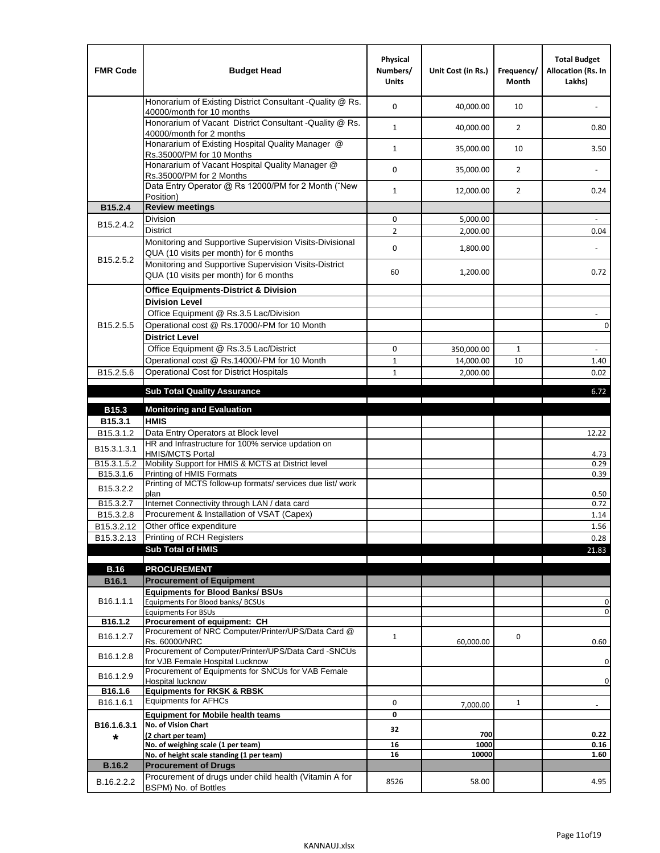| <b>FMR Code</b>         | <b>Budget Head</b>                                                                                | Physical<br>Numbers/<br><b>Units</b> | Unit Cost (in Rs.) | Frequency/<br><b>Month</b> | <b>Total Budget</b><br>Allocation (Rs. In<br>Lakhs) |
|-------------------------|---------------------------------------------------------------------------------------------------|--------------------------------------|--------------------|----------------------------|-----------------------------------------------------|
|                         | Honorarium of Existing District Consultant -Quality @ Rs.<br>40000/month for 10 months            | $\mathbf 0$                          | 40,000.00          | 10                         |                                                     |
|                         | Honorarium of Vacant District Consultant -Quality @ Rs.<br>40000/month for 2 months               | $\mathbf{1}$                         | 40,000.00          | $\overline{2}$             | 0.80                                                |
|                         | Honararium of Existing Hospital Quality Manager @<br>Rs.35000/PM for 10 Months                    | $\mathbf{1}$                         | 35,000.00          | 10                         | 3.50                                                |
|                         | Honararium of Vacant Hospital Quality Manager @<br>Rs.35000/PM for 2 Months                       | $\mathbf 0$                          | 35,000.00          | $\overline{2}$             |                                                     |
|                         | Data Entry Operator @ Rs 12000/PM for 2 Month ("New<br>Position)                                  | $\mathbf{1}$                         | 12,000.00          | $\overline{2}$             | 0.24                                                |
| B15.2.4                 | <b>Review meetings</b>                                                                            |                                      |                    |                            |                                                     |
| B <sub>15.2</sub> .4.2  | Division                                                                                          | 0                                    | 5,000.00           |                            |                                                     |
|                         | <b>District</b>                                                                                   | $\overline{2}$                       | 2,000.00           |                            | 0.04                                                |
| B15.2.5.2               | Monitoring and Supportive Supervision Visits-Divisional<br>QUA (10 visits per month) for 6 months | $\mathbf 0$                          | 1,800.00           |                            |                                                     |
|                         | Monitoring and Supportive Supervision Visits-District<br>QUA (10 visits per month) for 6 months   | 60                                   | 1,200.00           |                            | 0.72                                                |
|                         | <b>Office Equipments-District &amp; Division</b>                                                  |                                      |                    |                            |                                                     |
|                         | <b>Division Level</b>                                                                             |                                      |                    |                            |                                                     |
|                         | Office Equipment @ Rs.3.5 Lac/Division                                                            |                                      |                    |                            | $\sim$                                              |
| B15.2.5.5               | Operational cost @ Rs.17000/-PM for 10 Month                                                      |                                      |                    |                            | $\pmb{0}$                                           |
|                         | <b>District Level</b>                                                                             |                                      |                    |                            |                                                     |
|                         | Office Equipment @ Rs.3.5 Lac/District                                                            | 0                                    | 350,000.00         | 1                          | $\sim$                                              |
|                         | Operational cost @ Rs.14000/-PM for 10 Month                                                      | $1\,$                                | 14,000.00          | 10                         | 1.40                                                |
| B15.2.5.6               | <b>Operational Cost for District Hospitals</b>                                                    | $\mathbf{1}$                         | 2,000.00           |                            | 0.02                                                |
|                         | <b>Sub Total Quality Assurance</b>                                                                |                                      |                    |                            | 6.72                                                |
| B15.3                   | <b>Monitoring and Evaluation</b>                                                                  |                                      |                    |                            |                                                     |
| B15.3.1                 | <b>HMIS</b>                                                                                       |                                      |                    |                            |                                                     |
| B15.3.1.2               | Data Entry Operators at Block level                                                               |                                      |                    |                            | 12.22                                               |
| B15.3.1.3.1             | HR and Infrastructure for 100% service updation on<br><b>HMIS/MCTS Portal</b>                     |                                      |                    |                            | 4.73                                                |
| B <sub>15.3.1.5.2</sub> | Mobility Support for HMIS & MCTS at District level                                                |                                      |                    |                            | 0.29                                                |
| B15.3.1.6               | Printing of HMIS Formats<br>Printing of MCTS follow-up formats/ services due list/ work           |                                      |                    |                            | 0.39                                                |
| B15.3.2.2               | plan                                                                                              |                                      |                    |                            | 0.50                                                |
| B15.3.2.7               | Internet Connectivity through LAN / data card                                                     |                                      |                    |                            | 0.72                                                |
| B15.3.2.8               | Procurement & Installation of VSAT (Capex)                                                        |                                      |                    |                            | 1.14                                                |
| B15.3.2.12              | Other office expenditure                                                                          |                                      |                    |                            | 1.56                                                |
| B15.3.2.13              | Printing of RCH Registers                                                                         |                                      |                    |                            | 0.28                                                |
|                         | <b>Sub Total of HMIS</b>                                                                          |                                      |                    |                            | 21.83                                               |
| <b>B.16</b>             | <b>PROCUREMENT</b>                                                                                |                                      |                    |                            |                                                     |
| B16.1                   | <b>Procurement of Equipment</b>                                                                   |                                      |                    |                            |                                                     |
|                         | <b>Equipments for Blood Banks/ BSUs</b>                                                           |                                      |                    |                            |                                                     |
| B16.1.1.1               | Equipments For Blood banks/ BCSUs                                                                 |                                      |                    |                            | 0                                                   |
| B16.1.2                 | <b>Equipments For BSUs</b><br>Procurement of equipment: CH                                        |                                      |                    |                            | 0                                                   |
|                         | Procurement of NRC Computer/Printer/UPS/Data Card @                                               |                                      |                    |                            |                                                     |
| B16.1.2.7               | Rs. 60000/NRC                                                                                     | $\mathbf{1}$                         | 60,000.00          | 0                          | 0.60                                                |
| B16.1.2.8               | Procurement of Computer/Printer/UPS/Data Card -SNCUs                                              |                                      |                    |                            |                                                     |
|                         | for VJB Female Hospital Lucknow<br>Procurement of Equipments for SNCUs for VAB Female             |                                      |                    |                            | 0                                                   |
| B16.1.2.9               | Hospital lucknow                                                                                  |                                      |                    |                            | 0                                                   |
| B16.1.6                 | <b>Equipments for RKSK &amp; RBSK</b>                                                             |                                      |                    |                            |                                                     |
| B16.1.6.1               | <b>Equipments for AFHCs</b>                                                                       | 0                                    | 7,000.00           | $\mathbf{1}$               | ÷,                                                  |
|                         | <b>Equipment for Mobile health teams</b>                                                          | 0                                    |                    |                            |                                                     |
| B16.1.6.3.1             | No. of Vision Chart<br>(2 chart per team)                                                         | 32                                   | 700                |                            | 0.22                                                |
| *                       | No. of weighing scale (1 per team)                                                                | 16                                   | 1000               |                            | 0.16                                                |
|                         | No. of height scale standing (1 per team)                                                         | 16                                   | 10000              |                            | 1.60                                                |
| <b>B.16.2</b>           | <b>Procurement of Drugs</b>                                                                       |                                      |                    |                            |                                                     |
| B.16.2.2.2              | Procurement of drugs under child health (Vitamin A for<br>BSPM) No. of Bottles                    | 8526                                 | 58.00              |                            | 4.95                                                |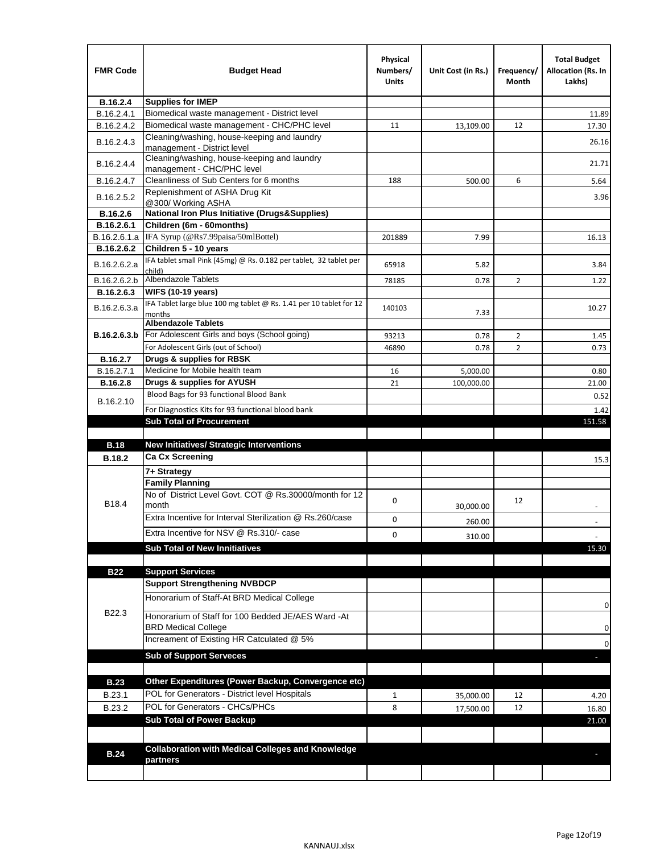| <b>FMR Code</b> | <b>Budget Head</b>                                                                   | Physical<br>Numbers/<br>Units | Unit Cost (in Rs.)     | Frequency/<br>Month | <b>Total Budget</b><br>Allocation (Rs. In<br>Lakhs) |
|-----------------|--------------------------------------------------------------------------------------|-------------------------------|------------------------|---------------------|-----------------------------------------------------|
| B.16.2.4        | <b>Supplies for IMEP</b>                                                             |                               |                        |                     |                                                     |
| B.16.2.4.1      | Biomedical waste management - District level                                         |                               |                        |                     | 11.89                                               |
| B.16.2.4.2      | Biomedical waste management - CHC/PHC level                                          | 11                            | 13,109.00              | 12                  | 17.30                                               |
| B.16.2.4.3      | Cleaning/washing, house-keeping and laundry<br>management - District level           |                               |                        |                     | 26.16                                               |
| B.16.2.4.4      | Cleaning/washing, house-keeping and laundry<br>management - CHC/PHC level            |                               |                        |                     | 21.71                                               |
| B.16.2.4.7      | Cleanliness of Sub Centers for 6 months                                              | 188                           | 500.00                 | 6                   | 5.64                                                |
| B.16.2.5.2      | Replenishment of ASHA Drug Kit<br>@300/ Working ASHA                                 |                               |                        |                     | 3.96                                                |
| B.16.2.6        | <b>National Iron Plus Initiative (Drugs&amp;Supplies)</b>                            |                               |                        |                     |                                                     |
| B.16.2.6.1      | Children (6m - 60months)                                                             |                               |                        |                     |                                                     |
| B.16.2.6.1.a    | IFA Syrup (@Rs7.99paisa/50mlBottel)                                                  | 201889                        | 7.99                   |                     | 16.13                                               |
| B.16.2.6.2      | Children 5 - 10 years                                                                |                               |                        |                     |                                                     |
| B.16.2.6.2.a    | IFA tablet small Pink (45mg) @ Rs. 0.182 per tablet, 32 tablet per<br>child)         | 65918                         | 5.82                   |                     | 3.84                                                |
| B.16.2.6.2.b    | <b>Albendazole Tablets</b>                                                           | 78185                         | 0.78                   | 2                   | 1.22                                                |
| B.16.2.6.3      | <b>WIFS (10-19 years)</b>                                                            |                               |                        |                     |                                                     |
| B.16.2.6.3.a    | IFA Tablet large blue 100 mg tablet @ Rs. 1.41 per 10 tablet for 12<br>months        | 140103                        | 7.33                   |                     | 10.27                                               |
|                 | <b>Albendazole Tablets</b>                                                           |                               |                        |                     |                                                     |
| B.16.2.6.3.b    | For Adolescent Girls and boys (School going)<br>For Adolescent Girls (out of School) | 93213                         | 0.78                   | $\overline{2}$      | 1.45                                                |
| B.16.2.7        | Drugs & supplies for RBSK                                                            | 46890                         | 0.78                   | $\overline{2}$      | 0.73                                                |
| B.16.2.7.1      | Medicine for Mobile health team                                                      | 16                            |                        |                     | 0.80                                                |
| <b>B.16.2.8</b> | Drugs & supplies for AYUSH                                                           | 21                            | 5,000.00<br>100,000.00 |                     | 21.00                                               |
|                 | Blood Bags for 93 functional Blood Bank                                              |                               |                        |                     | 0.52                                                |
| B.16.2.10       |                                                                                      |                               |                        |                     |                                                     |
|                 | For Diagnostics Kits for 93 functional blood bank<br><b>Sub Total of Procurement</b> |                               |                        |                     | 1.42<br>151.58                                      |
|                 |                                                                                      |                               |                        |                     |                                                     |
| <b>B.18</b>     | <b>New Initiatives/ Strategic Interventions</b>                                      |                               |                        |                     |                                                     |
| <b>B.18.2</b>   | <b>Ca Cx Screening</b>                                                               |                               |                        |                     | 15.3                                                |
|                 | 7+ Strategy                                                                          |                               |                        |                     |                                                     |
|                 | <b>Family Planning</b>                                                               |                               |                        |                     |                                                     |
| B18.4           | No of District Level Govt. COT @ Rs.30000/month for 12<br>month                      | 0                             | 30,000.00              | 12                  |                                                     |
|                 | Extra Incentive for Interval Sterilization @ Rs.260/case                             | 0                             |                        |                     |                                                     |
|                 | Extra Incentive for NSV @ Rs.310/- case                                              |                               | 260.00                 |                     |                                                     |
|                 |                                                                                      | 0                             | 310.00                 |                     |                                                     |
|                 | <b>Sub Total of New Innitiatives</b>                                                 |                               |                        |                     | 15.30                                               |
|                 |                                                                                      |                               |                        |                     |                                                     |
| <b>B22</b>      | <b>Support Services</b><br><b>Support Strengthening NVBDCP</b>                       |                               |                        |                     |                                                     |
|                 | Honorarium of Staff-At BRD Medical College                                           |                               |                        |                     |                                                     |
| B22.3           | Honorarium of Staff for 100 Bedded JE/AES Ward -At                                   |                               |                        |                     | 0                                                   |
|                 | <b>BRD Medical College</b><br>Increament of Existing HR Catculated @ 5%              |                               |                        |                     | 0<br>0                                              |
|                 | <b>Sub of Support Serveces</b>                                                       |                               |                        |                     |                                                     |
|                 |                                                                                      |                               |                        |                     |                                                     |
| <b>B.23</b>     | Other Expenditures (Power Backup, Convergence etc)                                   |                               |                        |                     |                                                     |
| B.23.1          | POL for Generators - District level Hospitals                                        | $\mathbf{1}$                  |                        | 12                  |                                                     |
| B.23.2          | POL for Generators - CHCs/PHCs                                                       | 8                             | 35,000.00              | 12                  | 4.20                                                |
|                 | <b>Sub Total of Power Backup</b>                                                     |                               | 17,500.00              |                     | 16.80                                               |
|                 |                                                                                      |                               |                        |                     | 21.00                                               |
|                 | <b>Collaboration with Medical Colleges and Knowledge</b>                             |                               |                        |                     |                                                     |
| <b>B.24</b>     | partners                                                                             |                               |                        |                     |                                                     |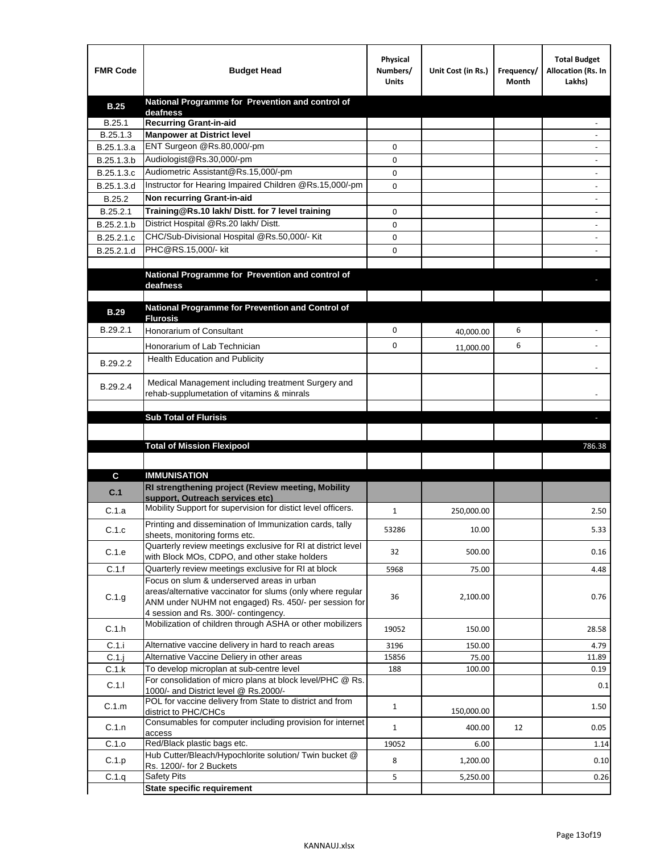| <b>FMR Code</b> | <b>Budget Head</b>                                                                                                                                                                                        | Physical<br>Numbers/<br><b>Units</b> | Unit Cost (in Rs.) | Frequency/<br>Month | <b>Total Budget</b><br>Allocation (Rs. In<br>Lakhs) |
|-----------------|-----------------------------------------------------------------------------------------------------------------------------------------------------------------------------------------------------------|--------------------------------------|--------------------|---------------------|-----------------------------------------------------|
| <b>B.25</b>     | National Programme for Prevention and control of                                                                                                                                                          |                                      |                    |                     |                                                     |
| B.25.1          | deafness<br><b>Recurring Grant-in-aid</b>                                                                                                                                                                 |                                      |                    |                     |                                                     |
| B.25.1.3        | <b>Manpower at District level</b>                                                                                                                                                                         |                                      |                    |                     |                                                     |
| B.25.1.3.a      | ENT Surgeon @Rs.80,000/-pm                                                                                                                                                                                | 0                                    |                    |                     |                                                     |
| B.25.1.3.b      | Audiologist@Rs.30,000/-pm                                                                                                                                                                                 | 0                                    |                    |                     |                                                     |
| B.25.1.3.c      | Audiometric Assistant@Rs.15,000/-pm                                                                                                                                                                       | 0                                    |                    |                     |                                                     |
| B.25.1.3.d      | Instructor for Hearing Impaired Children @Rs.15,000/-pm                                                                                                                                                   | 0                                    |                    |                     |                                                     |
| B.25.2          | Non recurring Grant-in-aid                                                                                                                                                                                |                                      |                    |                     |                                                     |
| B.25.2.1        | Training@Rs.10 lakh/ Distt. for 7 level training                                                                                                                                                          | 0                                    |                    |                     |                                                     |
| B.25.2.1.b      | District Hospital @Rs.20 lakh/Distt.                                                                                                                                                                      | 0                                    |                    |                     |                                                     |
| B.25.2.1.c      | CHC/Sub-Divisional Hospital @Rs.50,000/- Kit                                                                                                                                                              | 0                                    |                    |                     |                                                     |
| B.25.2.1.d      | PHC@RS.15,000/- kit                                                                                                                                                                                       | 0                                    |                    |                     |                                                     |
|                 | National Programme for Prevention and control of                                                                                                                                                          |                                      |                    |                     |                                                     |
|                 | deafness                                                                                                                                                                                                  |                                      |                    |                     |                                                     |
| <b>B.29</b>     | National Programme for Prevention and Control of                                                                                                                                                          |                                      |                    |                     |                                                     |
|                 | <b>Flurosis</b>                                                                                                                                                                                           |                                      |                    |                     |                                                     |
| B.29.2.1        | Honorarium of Consultant                                                                                                                                                                                  | 0                                    | 40,000.00          | 6                   |                                                     |
|                 | Honorarium of Lab Technician                                                                                                                                                                              | 0                                    | 11,000.00          | 6                   |                                                     |
| B.29.2.2        | Health Education and Publicity                                                                                                                                                                            |                                      |                    |                     |                                                     |
| B.29.2.4        | Medical Management including treatment Surgery and<br>rehab-supplumetation of vitamins & minrals                                                                                                          |                                      |                    |                     |                                                     |
|                 |                                                                                                                                                                                                           |                                      |                    |                     |                                                     |
|                 | <b>Sub Total of Flurisis</b>                                                                                                                                                                              |                                      |                    |                     | ь                                                   |
|                 |                                                                                                                                                                                                           |                                      |                    |                     |                                                     |
|                 | <b>Total of Mission Flexipool</b>                                                                                                                                                                         |                                      |                    |                     | 786.38                                              |
|                 |                                                                                                                                                                                                           |                                      |                    |                     |                                                     |
| C               | <b>IMMUNISATION</b>                                                                                                                                                                                       |                                      |                    |                     |                                                     |
| C.1             | RI strengthening project (Review meeting, Mobility<br>support, Outreach services etc)                                                                                                                     |                                      |                    |                     |                                                     |
| C.1.a           | Mobility Support for supervision for distict level officers.                                                                                                                                              | 1                                    | 250,000.00         |                     | 2.50                                                |
| C.1.c           | Printing and dissemination of Immunization cards, tally                                                                                                                                                   | 53286                                | 10.00              |                     | 5.33                                                |
|                 | sheets, monitoring forms etc.<br>Quarterly review meetings exclusive for RI at district level                                                                                                             |                                      |                    |                     |                                                     |
| C.1.e           | with Block MOs, CDPO, and other stake holders                                                                                                                                                             | 32                                   | 500.00             |                     | 0.16                                                |
| C.1.f           | Quarterly review meetings exclusive for RI at block                                                                                                                                                       | 5968                                 | 75.00              |                     | 4.48                                                |
| C.1.g           | Focus on slum & underserved areas in urban<br>areas/alternative vaccinator for slums (only where regular<br>ANM under NUHM not engaged) Rs. 450/- per session for<br>4 session and Rs. 300/- contingency. | 36                                   | 2,100.00           |                     | 0.76                                                |
| C.1.h           | Mobilization of children through ASHA or other mobilizers                                                                                                                                                 | 19052                                | 150.00             |                     | 28.58                                               |
| C.1.i           | Alternative vaccine delivery in hard to reach areas                                                                                                                                                       | 3196                                 | 150.00             |                     | 4.79                                                |
| $C.1$ .j        |                                                                                                                                                                                                           |                                      |                    |                     |                                                     |
| C.1.k           | Alternative Vaccine Deliery in other areas                                                                                                                                                                | 15856                                | 75.00              |                     | 11.89                                               |
|                 | To develop microplan at sub-centre level                                                                                                                                                                  | 188                                  | 100.00             |                     | 0.19                                                |
| C.1.1           | For consolidation of micro plans at block level/PHC @ Rs.<br>1000/- and District level @ Rs.2000/-                                                                                                        |                                      |                    |                     | 0.1                                                 |
| C.1.m           | POL for vaccine delivery from State to district and from                                                                                                                                                  | $\mathbf{1}$                         | 150,000.00         |                     | 1.50                                                |
| C.1.n           | district to PHC/CHCs<br>Consumables for computer including provision for internet                                                                                                                         | $\mathbf{1}$                         | 400.00             | 12                  | 0.05                                                |
|                 | access                                                                                                                                                                                                    | 19052                                |                    |                     | 1.14                                                |
| C.1.o<br>C.1.p  | Red/Black plastic bags etc.<br>Hub Cutter/Bleach/Hypochlorite solution/ Twin bucket @                                                                                                                     | 8                                    | 6.00<br>1,200.00   |                     | 0.10                                                |
| C.1.q           | Rs. 1200/- for 2 Buckets<br><b>Safety Pits</b>                                                                                                                                                            | 5                                    | 5,250.00           |                     | 0.26                                                |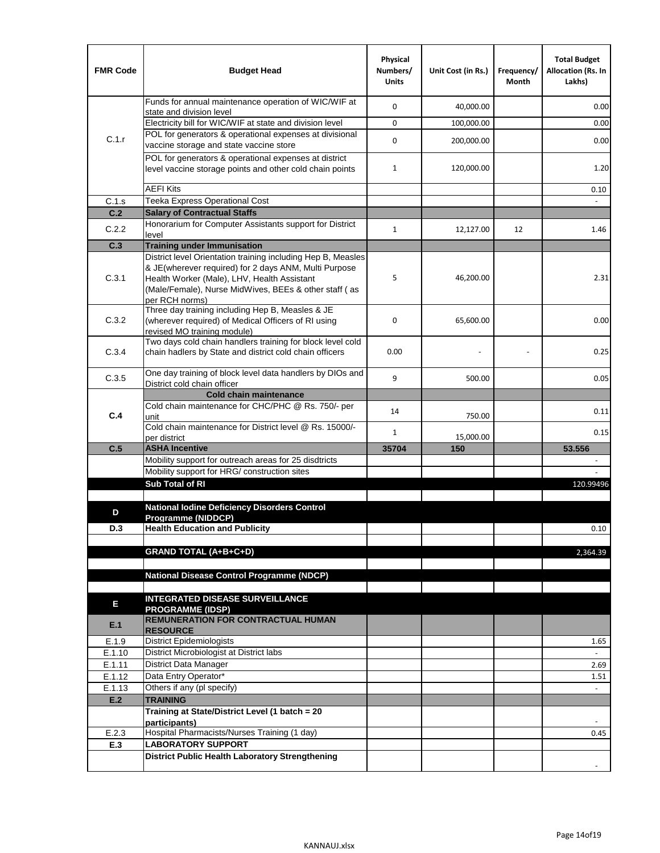| <b>FMR Code</b>  | <b>Budget Head</b>                                                                                                                                                              | Physical<br>Numbers/<br><b>Units</b> | Unit Cost (in Rs.) | Frequency/<br>Month | <b>Total Budget</b><br><b>Allocation (Rs. In</b><br>Lakhs) |
|------------------|---------------------------------------------------------------------------------------------------------------------------------------------------------------------------------|--------------------------------------|--------------------|---------------------|------------------------------------------------------------|
|                  | Funds for annual maintenance operation of WIC/WIF at<br>state and division level                                                                                                | $\mathbf 0$                          | 40,000.00          |                     | 0.00                                                       |
|                  | Electricity bill for WIC/WIF at state and division level                                                                                                                        | $\mathbf 0$                          | 100,000.00         |                     | 0.00                                                       |
| C.1.r            | POL for generators & operational expenses at divisional                                                                                                                         | $\mathbf 0$                          |                    |                     |                                                            |
|                  | vaccine storage and state vaccine store                                                                                                                                         |                                      | 200,000.00         |                     | 0.00                                                       |
|                  | POL for generators & operational expenses at district<br>level vaccine storage points and other cold chain points                                                               | $\mathbf{1}$                         | 120,000.00         |                     | 1.20                                                       |
|                  | <b>AEFI Kits</b>                                                                                                                                                                |                                      |                    |                     | 0.10                                                       |
| C.1.s            | Teeka Express Operational Cost                                                                                                                                                  |                                      |                    |                     |                                                            |
| C.2              | <b>Salary of Contractual Staffs</b>                                                                                                                                             |                                      |                    |                     |                                                            |
| C.2.2            | Honorarium for Computer Assistants support for District<br>level                                                                                                                | $\mathbf{1}$                         | 12,127.00          | 12                  | 1.46                                                       |
| C.3              | <b>Training under Immunisation</b>                                                                                                                                              |                                      |                    |                     |                                                            |
|                  | District level Orientation training including Hep B, Measles                                                                                                                    |                                      |                    |                     |                                                            |
| C.3.1            | & JE(wherever required) for 2 days ANM, Multi Purpose<br>Health Worker (Male), LHV, Health Assistant<br>(Male/Female), Nurse MidWives, BEEs & other staff (as<br>per RCH norms) | 5                                    | 46,200.00          |                     | 2.31                                                       |
| C.3.2            | Three day training including Hep B, Measles & JE<br>(wherever required) of Medical Officers of RI using<br>revised MO training module)                                          | $\mathbf 0$                          | 65,600.00          |                     | 0.00                                                       |
| C.3.4            | Two days cold chain handlers training for block level cold<br>chain hadlers by State and district cold chain officers                                                           | 0.00                                 |                    |                     | 0.25                                                       |
| C.3.5            | One day training of block level data handlers by DIOs and<br>District cold chain officer                                                                                        | 9                                    | 500.00             |                     | 0.05                                                       |
|                  | <b>Cold chain maintenance</b>                                                                                                                                                   |                                      |                    |                     |                                                            |
|                  | Cold chain maintenance for CHC/PHC @ Rs. 750/- per                                                                                                                              | 14                                   |                    |                     | 0.11                                                       |
| C.4              | unit                                                                                                                                                                            |                                      | 750.00             |                     |                                                            |
|                  | Cold chain maintenance for District level @ Rs. 15000/-<br>per district                                                                                                         | $\mathbf{1}$                         | 15,000.00          |                     | 0.15                                                       |
| C.5              | <b>ASHA Incentive</b>                                                                                                                                                           | 35704                                | 150                |                     | 53.556                                                     |
|                  | Mobility support for outreach areas for 25 disdtricts                                                                                                                           |                                      |                    |                     |                                                            |
|                  | Mobility support for HRG/ construction sites                                                                                                                                    |                                      |                    |                     |                                                            |
|                  | Sub Total of RI                                                                                                                                                                 |                                      |                    |                     | 120.99496                                                  |
|                  |                                                                                                                                                                                 |                                      |                    |                     |                                                            |
| D                | <b>National Iodine Deficiency Disorders Control</b><br>Programme (NIDDCP)                                                                                                       |                                      |                    |                     |                                                            |
| D.3              | <b>Health Education and Publicity</b>                                                                                                                                           |                                      |                    |                     | 0.10                                                       |
|                  |                                                                                                                                                                                 |                                      |                    |                     |                                                            |
|                  | <b>GRAND TOTAL (A+B+C+D)</b>                                                                                                                                                    |                                      |                    |                     | 2.364.39                                                   |
|                  |                                                                                                                                                                                 |                                      |                    |                     |                                                            |
|                  | <b>National Disease Control Programme (NDCP)</b>                                                                                                                                |                                      |                    |                     |                                                            |
|                  | <b>INTEGRATED DISEASE SURVEILLANCE</b>                                                                                                                                          |                                      |                    |                     |                                                            |
| Е                | <b>PROGRAMME (IDSP)</b>                                                                                                                                                         |                                      |                    |                     |                                                            |
| E.1              | <b>REMUNERATION FOR CONTRACTUAL HUMAN</b><br><b>RESOURCE</b>                                                                                                                    |                                      |                    |                     |                                                            |
| E.1.9            | District Epidemiologists                                                                                                                                                        |                                      |                    |                     | 1.65                                                       |
| E.1.10           | District Microbiologist at District labs                                                                                                                                        |                                      |                    |                     |                                                            |
| E.1.11<br>E.1.12 | District Data Manager<br>Data Entry Operator*                                                                                                                                   |                                      |                    |                     | 2.69                                                       |
| E.1.13           | Others if any (pl specify)                                                                                                                                                      |                                      |                    |                     | 1.51<br>$\omega$                                           |
| E.2              | <b>TRAINING</b>                                                                                                                                                                 |                                      |                    |                     |                                                            |
|                  | Training at State/District Level (1 batch = 20                                                                                                                                  |                                      |                    |                     |                                                            |
|                  | participants)                                                                                                                                                                   |                                      |                    |                     |                                                            |
| E.2.3            | Hospital Pharmacists/Nurses Training (1 day)                                                                                                                                    |                                      |                    |                     | 0.45                                                       |
| E.3              | <b>LABORATORY SUPPORT</b>                                                                                                                                                       |                                      |                    |                     |                                                            |
|                  | <b>District Public Health Laboratory Strengthening</b>                                                                                                                          |                                      |                    |                     |                                                            |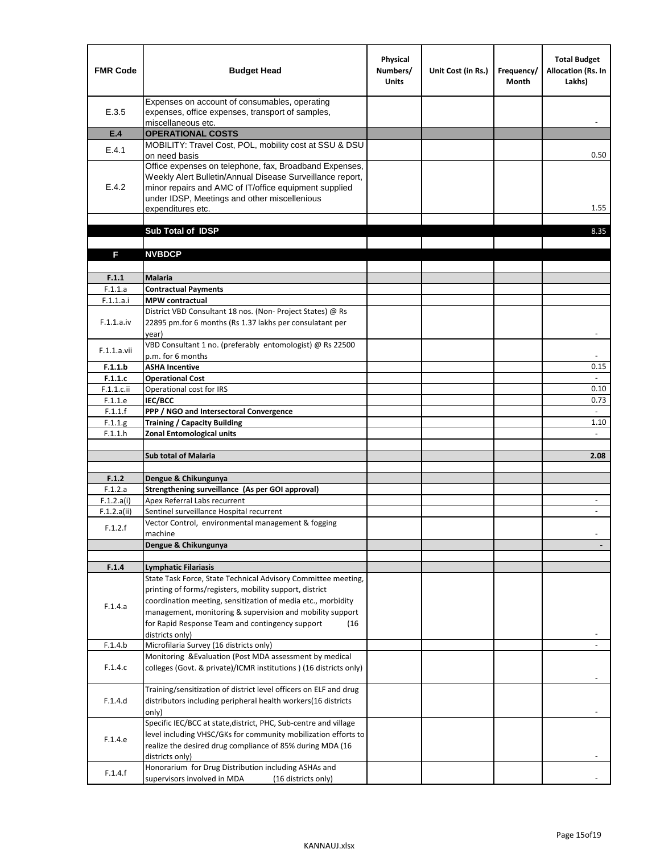| <b>FMR Code</b>       | <b>Budget Head</b>                                                                                                                                                                                                                                | Physical<br>Numbers/<br><b>Units</b> | Unit Cost (in Rs.) | Frequency/<br><b>Month</b> | <b>Total Budget</b><br>Allocation (Rs. In<br>Lakhs) |
|-----------------------|---------------------------------------------------------------------------------------------------------------------------------------------------------------------------------------------------------------------------------------------------|--------------------------------------|--------------------|----------------------------|-----------------------------------------------------|
| E.3.5                 | Expenses on account of consumables, operating<br>expenses, office expenses, transport of samples,<br>miscellaneous etc.                                                                                                                           |                                      |                    |                            |                                                     |
| E.4                   | <b>OPERATIONAL COSTS</b>                                                                                                                                                                                                                          |                                      |                    |                            |                                                     |
| E.4.1                 | MOBILITY: Travel Cost, POL, mobility cost at SSU & DSU                                                                                                                                                                                            |                                      |                    |                            |                                                     |
|                       | on need basis                                                                                                                                                                                                                                     |                                      |                    |                            | 0.50                                                |
| E.4.2                 | Office expenses on telephone, fax, Broadband Expenses,<br>Weekly Alert Bulletin/Annual Disease Surveillance report,<br>minor repairs and AMC of IT/office equipment supplied<br>under IDSP, Meetings and other miscellenious<br>expenditures etc. |                                      |                    |                            | 1.55                                                |
|                       | Sub Total of IDSP                                                                                                                                                                                                                                 |                                      |                    |                            | 8.35                                                |
|                       |                                                                                                                                                                                                                                                   |                                      |                    |                            |                                                     |
| F                     | <b>NVBDCP</b>                                                                                                                                                                                                                                     |                                      |                    |                            |                                                     |
|                       |                                                                                                                                                                                                                                                   |                                      |                    |                            |                                                     |
| F.1.1                 | <b>Malaria</b>                                                                                                                                                                                                                                    |                                      |                    |                            |                                                     |
| F.1.1.a               | <b>Contractual Payments</b>                                                                                                                                                                                                                       |                                      |                    |                            |                                                     |
| F.1.1.a.i             | <b>MPW</b> contractual<br>District VBD Consultant 18 nos. (Non-Project States) @ Rs                                                                                                                                                               |                                      |                    |                            |                                                     |
| F.1.1.a.iv            | 22895 pm.for 6 months (Rs 1.37 lakhs per consulatant per<br>year)                                                                                                                                                                                 |                                      |                    |                            | $\overline{\phantom{a}}$                            |
|                       | VBD Consultant 1 no. (preferably entomologist) @ Rs 22500                                                                                                                                                                                         |                                      |                    |                            |                                                     |
| F.1.1.a.vii           | p.m. for 6 months                                                                                                                                                                                                                                 |                                      |                    |                            |                                                     |
| F.1.1.b               | <b>ASHA Incentive</b>                                                                                                                                                                                                                             |                                      |                    |                            | 0.15                                                |
| F.1.1.c               | <b>Operational Cost</b>                                                                                                                                                                                                                           |                                      |                    |                            |                                                     |
| $F.1.1.c.$ ii         | Operational cost for IRS                                                                                                                                                                                                                          |                                      |                    |                            | 0.10                                                |
| F.1.1.e<br>F.1.1.f    | <b>IEC/BCC</b><br>PPP / NGO and Intersectoral Convergence                                                                                                                                                                                         |                                      |                    |                            | 0.73<br>$\mathbb{L}$                                |
| F.1.1.g               | <b>Training / Capacity Building</b>                                                                                                                                                                                                               |                                      |                    |                            | 1.10                                                |
| F.1.1.h               | <b>Zonal Entomological units</b>                                                                                                                                                                                                                  |                                      |                    |                            |                                                     |
|                       |                                                                                                                                                                                                                                                   |                                      |                    |                            |                                                     |
|                       | <b>Sub total of Malaria</b>                                                                                                                                                                                                                       |                                      |                    |                            | 2.08                                                |
|                       |                                                                                                                                                                                                                                                   |                                      |                    |                            |                                                     |
| F.1.2                 | Dengue & Chikungunya<br>Strengthening surveillance (As per GOI approval)                                                                                                                                                                          |                                      |                    |                            |                                                     |
| F.1.2.a<br>F.1.2.a(i) | Apex Referral Labs recurrent                                                                                                                                                                                                                      |                                      |                    |                            |                                                     |
| F.1.2.a(ii)           | Sentinel surveillance Hospital recurrent                                                                                                                                                                                                          |                                      |                    |                            | $\sim$                                              |
|                       | Vector Control, environmental management & fogging                                                                                                                                                                                                |                                      |                    |                            |                                                     |
| F.1.2.f               | machine                                                                                                                                                                                                                                           |                                      |                    |                            |                                                     |
|                       | Dengue & Chikungunya                                                                                                                                                                                                                              |                                      |                    |                            |                                                     |
|                       |                                                                                                                                                                                                                                                   |                                      |                    |                            |                                                     |
| F.1.4                 | <b>Lymphatic Filariasis</b><br>State Task Force, State Technical Advisory Committee meeting,                                                                                                                                                      |                                      |                    |                            |                                                     |
|                       | printing of forms/registers, mobility support, district                                                                                                                                                                                           |                                      |                    |                            |                                                     |
|                       | coordination meeting, sensitization of media etc., morbidity                                                                                                                                                                                      |                                      |                    |                            |                                                     |
| F.1.4.a               | management, monitoring & supervision and mobility support                                                                                                                                                                                         |                                      |                    |                            |                                                     |
|                       | for Rapid Response Team and contingency support<br>(16)                                                                                                                                                                                           |                                      |                    |                            |                                                     |
|                       | districts only)                                                                                                                                                                                                                                   |                                      |                    |                            |                                                     |
| F.1.4.b               | Microfilaria Survey (16 districts only)                                                                                                                                                                                                           |                                      |                    |                            |                                                     |
| F.1.4.c               | Monitoring & Evaluation (Post MDA assessment by medical<br>colleges (Govt. & private)/ICMR institutions ) (16 districts only)                                                                                                                     |                                      |                    |                            |                                                     |
|                       | Training/sensitization of district level officers on ELF and drug                                                                                                                                                                                 |                                      |                    |                            |                                                     |
| F.1.4.d               | distributors including peripheral health workers(16 districts                                                                                                                                                                                     |                                      |                    |                            |                                                     |
|                       | only)                                                                                                                                                                                                                                             |                                      |                    |                            |                                                     |
|                       | Specific IEC/BCC at state, district, PHC, Sub-centre and village                                                                                                                                                                                  |                                      |                    |                            |                                                     |
| F.1.4.e               | level including VHSC/GKs for community mobilization efforts to                                                                                                                                                                                    |                                      |                    |                            |                                                     |
|                       | realize the desired drug compliance of 85% during MDA (16                                                                                                                                                                                         |                                      |                    |                            |                                                     |
|                       | districts only)<br>Honorarium for Drug Distribution including ASHAs and                                                                                                                                                                           |                                      |                    |                            |                                                     |
| F.1.4.f               | supervisors involved in MDA<br>(16 districts only)                                                                                                                                                                                                |                                      |                    |                            |                                                     |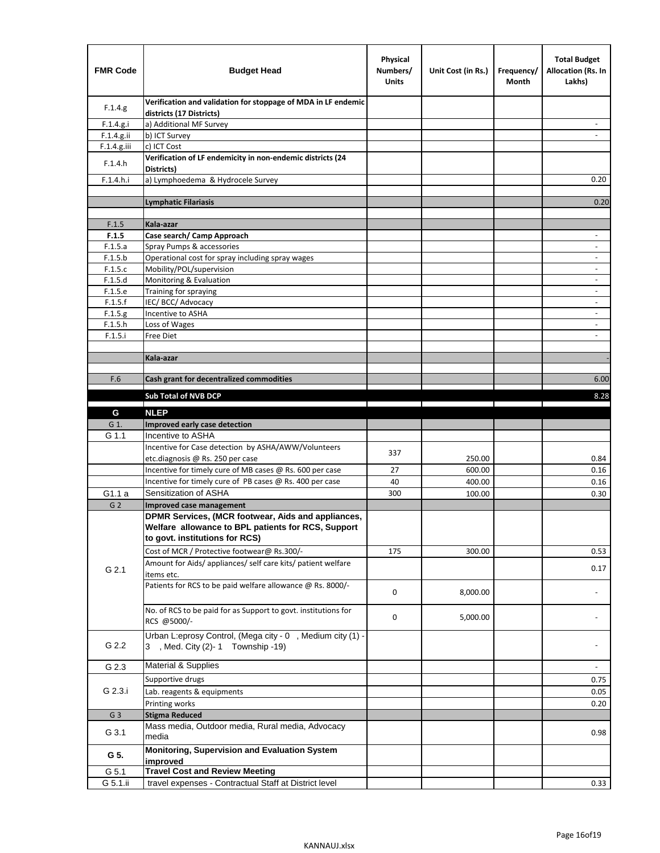| <b>FMR Code</b> | <b>Budget Head</b>                                                                             | Physical<br>Numbers/<br><b>Units</b> | Unit Cost (in Rs.)                                                              | Frequency/<br>Month            | <b>Total Budget</b><br>Allocation (Rs. In<br>Lakhs) |
|-----------------|------------------------------------------------------------------------------------------------|--------------------------------------|---------------------------------------------------------------------------------|--------------------------------|-----------------------------------------------------|
| F.1.4.g.        | Verification and validation for stoppage of MDA in LF endemic<br>districts (17 Districts)      |                                      |                                                                                 |                                |                                                     |
| F.1.4.g.i       | a) Additional MF Survey                                                                        |                                      |                                                                                 |                                |                                                     |
| F.1.4.g.ii      | b) ICT Survey                                                                                  |                                      |                                                                                 |                                |                                                     |
| $F.1.4.g.$ iii  | c) ICT Cost                                                                                    |                                      |                                                                                 |                                |                                                     |
| F.1.4.h         | Verification of LF endemicity in non-endemic districts (24<br>Districts)                       |                                      |                                                                                 |                                |                                                     |
| F.1.4.h.i       | a) Lymphoedema & Hydrocele Survey                                                              |                                      |                                                                                 |                                | 0.20                                                |
|                 | <b>Lymphatic Filariasis</b>                                                                    |                                      |                                                                                 |                                | 0.20                                                |
|                 |                                                                                                |                                      |                                                                                 |                                |                                                     |
| F.1.5           | Kala-azar                                                                                      |                                      |                                                                                 |                                |                                                     |
| F.1.5           | Case search/ Camp Approach                                                                     |                                      |                                                                                 |                                | $\overline{\phantom{a}}$                            |
| F.1.5.a         | Spray Pumps & accessories                                                                      |                                      |                                                                                 |                                | ٠                                                   |
| F.1.5.b         | Operational cost for spray including spray wages                                               |                                      |                                                                                 |                                |                                                     |
| F.1.5.c         | Mobility/POL/supervision                                                                       |                                      |                                                                                 |                                | $\blacksquare$                                      |
| F.1.5.d         | Monitoring & Evaluation                                                                        |                                      |                                                                                 |                                | $\overline{\phantom{a}}$                            |
| F.1.5.e         | Training for spraying                                                                          |                                      |                                                                                 |                                | $\qquad \qquad \blacksquare$                        |
| F.1.5.f         | IEC/BCC/Advocacy                                                                               |                                      |                                                                                 |                                |                                                     |
| F.1.5.g         | Incentive to ASHA                                                                              |                                      |                                                                                 |                                | $\overline{\phantom{a}}$                            |
| F.1.5.h         | Loss of Wages                                                                                  |                                      |                                                                                 |                                | $\overline{\phantom{a}}$                            |
| F.1.5.i         | Free Diet                                                                                      |                                      |                                                                                 |                                |                                                     |
|                 |                                                                                                |                                      |                                                                                 |                                |                                                     |
|                 | Kala-azar                                                                                      |                                      |                                                                                 |                                |                                                     |
| F.6             | Cash grant for decentralized commodities                                                       |                                      |                                                                                 |                                | 6.00                                                |
|                 |                                                                                                |                                      |                                                                                 |                                |                                                     |
|                 | Sub Total of NVB DCP                                                                           |                                      | the contract of the contract of the contract of the contract of the contract of | the property of the control of | 8.28                                                |
| G               | <b>NLEP</b>                                                                                    |                                      |                                                                                 |                                |                                                     |
| G 1.            | Improved early case detection                                                                  |                                      |                                                                                 |                                |                                                     |
| G 1.1           | Incentive to ASHA                                                                              |                                      |                                                                                 |                                |                                                     |
|                 | Incentive for Case detection by ASHA/AWW/Volunteers                                            |                                      |                                                                                 |                                |                                                     |
|                 | etc.diagnosis @ Rs. 250 per case                                                               | 337                                  | 250.00                                                                          |                                | 0.84                                                |
|                 | Incentive for timely cure of MB cases @ Rs. 600 per case                                       | 27                                   | 600.00                                                                          |                                | 0.16                                                |
|                 | Incentive for timely cure of PB cases @ Rs. 400 per case                                       | 40                                   | 400.00                                                                          |                                | 0.16                                                |
| G1.1 a          | Sensitization of ASHA                                                                          | 300                                  | 100.00                                                                          |                                | 0.30                                                |
| G <sub>2</sub>  | <b>Improved case management</b>                                                                |                                      |                                                                                 |                                |                                                     |
|                 | DPMR Services, (MCR footwear, Aids and appliances,                                             |                                      |                                                                                 |                                |                                                     |
|                 | Welfare allowance to BPL patients for RCS, Support                                             |                                      |                                                                                 |                                |                                                     |
|                 | to govt. institutions for RCS)                                                                 |                                      |                                                                                 |                                |                                                     |
|                 | Cost of MCR / Protective footwear@ Rs.300/-                                                    | 175                                  | 300.00                                                                          |                                | 0.53                                                |
|                 | Amount for Aids/ appliances/ self care kits/ patient welfare                                   |                                      |                                                                                 |                                |                                                     |
| G 2.1           | items etc.                                                                                     |                                      |                                                                                 |                                | 0.17                                                |
|                 | Patients for RCS to be paid welfare allowance @ Rs. 8000/-                                     |                                      |                                                                                 |                                |                                                     |
|                 |                                                                                                | 0                                    | 8,000.00                                                                        |                                |                                                     |
|                 | No. of RCS to be paid for as Support to govt. institutions for                                 |                                      |                                                                                 |                                |                                                     |
|                 | RCS @5000/-                                                                                    | 0                                    | 5,000.00                                                                        |                                |                                                     |
|                 |                                                                                                |                                      |                                                                                 |                                |                                                     |
| G 2.2           | Urban L:eprosy Control, (Mega city - 0, Medium city (1) -<br>3 , Med. City (2)-1 Township -19) |                                      |                                                                                 |                                |                                                     |
|                 |                                                                                                |                                      |                                                                                 |                                |                                                     |
| G 2.3           | Material & Supplies                                                                            |                                      |                                                                                 |                                | $\overline{\phantom{a}}$                            |
|                 | Supportive drugs                                                                               |                                      |                                                                                 |                                | 0.75                                                |
| G 2.3.i         | Lab. reagents & equipments                                                                     |                                      |                                                                                 |                                |                                                     |
|                 |                                                                                                |                                      |                                                                                 |                                | 0.05                                                |
|                 | Printing works                                                                                 |                                      |                                                                                 |                                | 0.20                                                |
| G <sub>3</sub>  | <b>Stigma Reduced</b><br>Mass media, Outdoor media, Rural media, Advocacy                      |                                      |                                                                                 |                                |                                                     |
| G 3.1           | media                                                                                          |                                      |                                                                                 |                                | 0.98                                                |
|                 |                                                                                                |                                      |                                                                                 |                                |                                                     |
| G 5.            | Monitoring, Supervision and Evaluation System<br>improved                                      |                                      |                                                                                 |                                |                                                     |
| G 5.1           | <b>Travel Cost and Review Meeting</b>                                                          |                                      |                                                                                 |                                |                                                     |
| G 5.1.ii        | travel expenses - Contractual Staff at District level                                          |                                      |                                                                                 |                                | 0.33                                                |
|                 |                                                                                                |                                      |                                                                                 |                                |                                                     |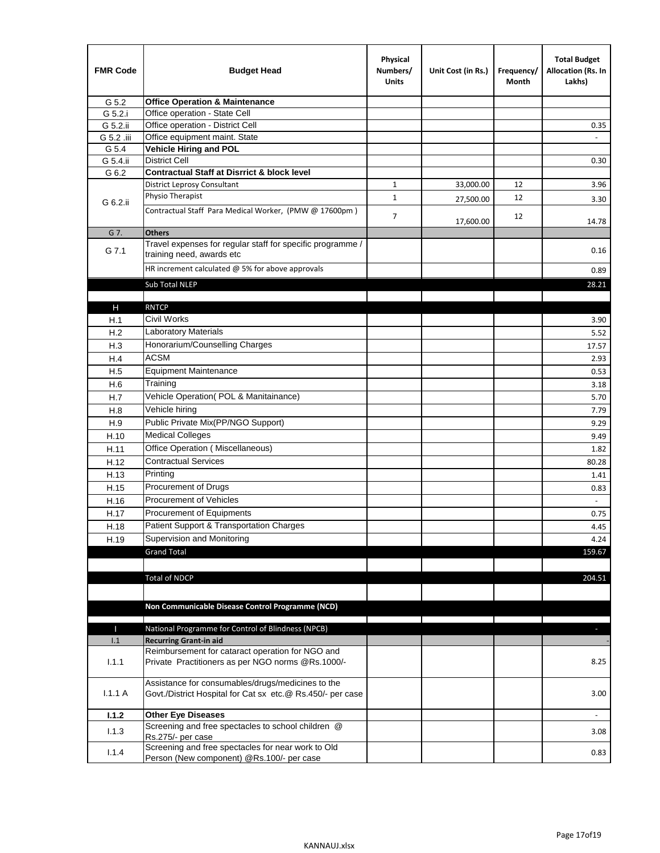| <b>FMR Code</b> | <b>Budget Head</b>                                                                                              | Physical<br>Numbers/<br><b>Units</b> | Unit Cost (in Rs.) | Frequency/<br>Month | <b>Total Budget</b><br>Allocation (Rs. In<br>Lakhs) |
|-----------------|-----------------------------------------------------------------------------------------------------------------|--------------------------------------|--------------------|---------------------|-----------------------------------------------------|
| G 5.2           | <b>Office Operation &amp; Maintenance</b>                                                                       |                                      |                    |                     |                                                     |
| G 5.2.i         | Office operation - State Cell                                                                                   |                                      |                    |                     |                                                     |
| G 5.2.ii        | Office operation - District Cell                                                                                |                                      |                    |                     | 0.35                                                |
| G 5.2 .iii      | Office equipment maint. State                                                                                   |                                      |                    |                     |                                                     |
| G 5.4           | Vehicle Hiring and POL                                                                                          |                                      |                    |                     |                                                     |
| G 5.4.ii        | <b>District Cell</b>                                                                                            |                                      |                    |                     | 0.30                                                |
| G 6.2           | <b>Contractual Staff at Disrrict &amp; block level</b>                                                          |                                      |                    |                     |                                                     |
|                 | <b>District Leprosy Consultant</b>                                                                              | 1                                    | 33,000.00          | 12                  | 3.96                                                |
| G 6.2.ii        | Physio Therapist                                                                                                | $\mathbf{1}$                         | 27,500.00          | 12                  | 3.30                                                |
|                 | Contractual Staff Para Medical Worker, (PMW @ 17600pm)                                                          | $\overline{7}$                       | 17,600.00          | 12                  | 14.78                                               |
| G 7.            | <b>Others</b>                                                                                                   |                                      |                    |                     |                                                     |
| G 7.1           | Travel expenses for regular staff for specific programme /<br>training need, awards etc                         |                                      |                    |                     | 0.16                                                |
|                 | HR increment calculated $@$ 5% for above approvals                                                              |                                      |                    |                     | 0.89                                                |
|                 | Sub Total NLEP                                                                                                  |                                      |                    |                     | 28.21                                               |
|                 |                                                                                                                 |                                      |                    |                     |                                                     |
| Н               | <b>RNTCP</b>                                                                                                    |                                      |                    |                     |                                                     |
| H.1             | Civil Works                                                                                                     |                                      |                    |                     | 3.90                                                |
| H.2             | Laboratory Materials                                                                                            |                                      |                    |                     | 5.52                                                |
| H.3             | Honorarium/Counselling Charges                                                                                  |                                      |                    |                     | 17.57                                               |
| H.4             | <b>ACSM</b>                                                                                                     |                                      |                    |                     | 2.93                                                |
| H.5             | <b>Equipment Maintenance</b>                                                                                    |                                      |                    |                     | 0.53                                                |
| H.6             | Training                                                                                                        |                                      |                    |                     | 3.18                                                |
| H.7             | Vehicle Operation(POL & Manitainance)                                                                           |                                      |                    |                     | 5.70                                                |
| H.8             | Vehicle hiring                                                                                                  |                                      |                    |                     | 7.79                                                |
| H.9             | Public Private Mix(PP/NGO Support)                                                                              |                                      |                    |                     | 9.29                                                |
| H.10            | <b>Medical Colleges</b>                                                                                         |                                      |                    |                     | 9.49                                                |
| H.11            | Office Operation (Miscellaneous)                                                                                |                                      |                    |                     | 1.82                                                |
| H.12            | <b>Contractual Services</b>                                                                                     |                                      |                    |                     | 80.28                                               |
| H.13            | Printing                                                                                                        |                                      |                    |                     | 1.41                                                |
| H.15            | Procurement of Drugs                                                                                            |                                      |                    |                     | 0.83                                                |
| H.16            | Procurement of Vehicles                                                                                         |                                      |                    |                     | $\sim$                                              |
|                 | Procurement of Equipments                                                                                       |                                      |                    |                     |                                                     |
| H.17            | Patient Support & Transportation Charges                                                                        |                                      |                    |                     | 0.75<br>4.45                                        |
| H.18            | Supervision and Monitoring                                                                                      |                                      |                    |                     |                                                     |
| H.19            | <b>Grand Total</b>                                                                                              |                                      |                    |                     | 4.24<br>159.67                                      |
|                 |                                                                                                                 |                                      |                    |                     |                                                     |
|                 | <b>Total of NDCP</b>                                                                                            |                                      |                    |                     | 204.51                                              |
|                 |                                                                                                                 |                                      |                    |                     |                                                     |
|                 |                                                                                                                 |                                      |                    |                     |                                                     |
|                 | Non Communicable Disease Control Programme (NCD)                                                                |                                      |                    |                     |                                                     |
| Т               | National Programme for Control of Blindness (NPCB)                                                              |                                      |                    |                     | ÷.                                                  |
| 1.1             | <b>Recurring Grant-in aid</b>                                                                                   |                                      |                    |                     |                                                     |
|                 | Reimbursement for cataract operation for NGO and                                                                |                                      |                    |                     |                                                     |
| 1.1.1           | Private Practitioners as per NGO norms @Rs.1000/-                                                               |                                      |                    |                     | 8.25                                                |
| 1.1.1A          | Assistance for consumables/drugs/medicines to the<br>Govt./District Hospital for Cat sx etc.@ Rs.450/- per case |                                      |                    |                     | 3.00                                                |
| 1.1.2           | <b>Other Eye Diseases</b>                                                                                       |                                      |                    |                     |                                                     |
|                 | Screening and free spectacles to school children @                                                              |                                      |                    |                     |                                                     |
| 1.1.3           | Rs.275/- per case                                                                                               |                                      |                    |                     | 3.08                                                |
| 1.1.4           | Screening and free spectacles for near work to Old                                                              |                                      |                    |                     | 0.83                                                |
|                 | Person (New component) @Rs.100/- per case                                                                       |                                      |                    |                     |                                                     |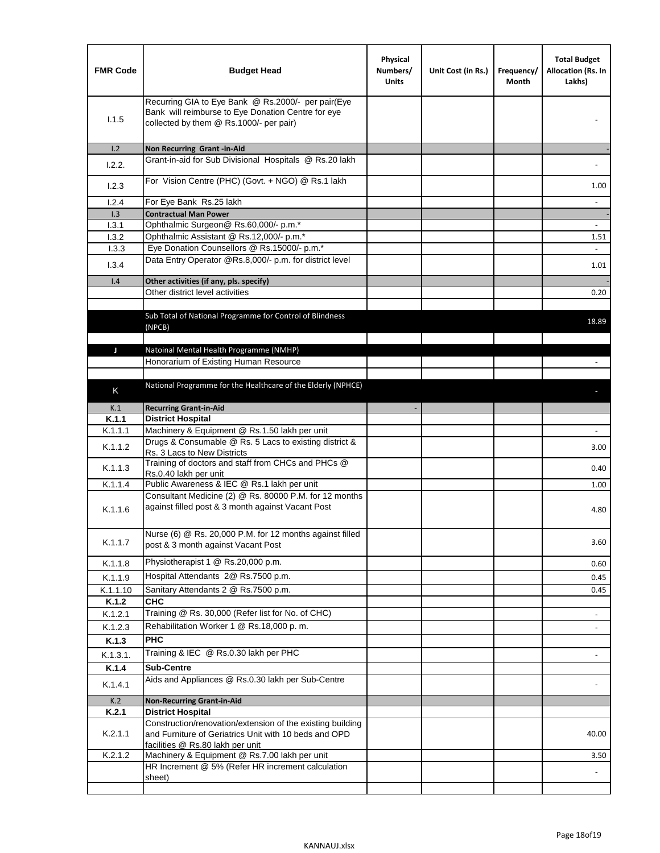| <b>FMR Code</b>  | <b>Budget Head</b>                                                                                                                                      | Physical<br>Numbers/<br><b>Units</b> | Unit Cost (in Rs.) | Frequency/<br>Month | <b>Total Budget</b><br>Allocation (Rs. In<br>Lakhs) |
|------------------|---------------------------------------------------------------------------------------------------------------------------------------------------------|--------------------------------------|--------------------|---------------------|-----------------------------------------------------|
| 1.1.5            | Recurring GIA to Eye Bank @ Rs.2000/- per pair(Eye<br>Bank will reimburse to Eye Donation Centre for eye<br>collected by them @ Rs.1000/- per pair)     |                                      |                    |                     |                                                     |
| 1.2              | Non Recurring Grant -in-Aid                                                                                                                             |                                      |                    |                     |                                                     |
| 1.2.2.           | Grant-in-aid for Sub Divisional Hospitals @ Rs.20 lakh                                                                                                  |                                      |                    |                     |                                                     |
| 1.2.3            | For Vision Centre (PHC) (Govt. + NGO) @ Rs.1 lakh                                                                                                       |                                      |                    |                     | 1.00                                                |
| 1.2.4            | For Eye Bank Rs.25 lakh                                                                                                                                 |                                      |                    |                     | $\blacksquare$                                      |
| 1.3              | <b>Contractual Man Power</b>                                                                                                                            |                                      |                    |                     |                                                     |
| 1.3.1            | Ophthalmic Surgeon@ Rs.60,000/- p.m.*                                                                                                                   |                                      |                    |                     |                                                     |
| 1.3.2<br>1.3.3   | Ophthalmic Assistant @ Rs.12,000/- p.m.*<br>Eye Donation Counsellors @ Rs.15000/- p.m.*                                                                 |                                      |                    |                     | 1.51<br>$\sim$                                      |
|                  | Data Entry Operator @Rs.8,000/- p.m. for district level                                                                                                 |                                      |                    |                     |                                                     |
| 1.3.4            |                                                                                                                                                         |                                      |                    |                     | 1.01                                                |
| 1.4              | Other activities (if any, pls. specify)                                                                                                                 |                                      |                    |                     |                                                     |
|                  | Other district level activities                                                                                                                         |                                      |                    |                     | 0.20                                                |
|                  | Sub Total of National Programme for Control of Blindness<br>(NPCB)                                                                                      |                                      |                    |                     | 18.89                                               |
| J                | Natoinal Mental Health Programme (NMHP)                                                                                                                 |                                      |                    |                     |                                                     |
|                  | Honorarium of Existing Human Resource                                                                                                                   |                                      |                    |                     |                                                     |
|                  |                                                                                                                                                         |                                      |                    |                     |                                                     |
| K                | National Programme for the Healthcare of the Elderly (NPHCE)                                                                                            |                                      |                    |                     |                                                     |
|                  |                                                                                                                                                         |                                      |                    |                     |                                                     |
| K.1              | <b>Recurring Grant-in-Aid</b>                                                                                                                           |                                      |                    |                     |                                                     |
| K.1.1<br>K.1.1.1 | <b>District Hospital</b><br>Machinery & Equipment @ Rs.1.50 lakh per unit                                                                               |                                      |                    |                     |                                                     |
|                  | Drugs & Consumable @ Rs. 5 Lacs to existing district &                                                                                                  |                                      |                    |                     |                                                     |
| K.1.1.2          | Rs. 3 Lacs to New Districts                                                                                                                             |                                      |                    |                     | 3.00                                                |
| K.1.1.3          | Training of doctors and staff from CHCs and PHCs @<br>Rs.0.40 lakh per unit                                                                             |                                      |                    |                     | 0.40                                                |
| K.1.1.4          | Public Awareness & IEC @ Rs.1 lakh per unit                                                                                                             |                                      |                    |                     | 1.00                                                |
| K.1.1.6          | Consultant Medicine (2) @ Rs. 80000 P.M. for 12 months<br>against filled post & 3 month against Vacant Post                                             |                                      |                    |                     | 4.80                                                |
| K.1.1.7          | Nurse (6) @ Rs. 20,000 P.M. for 12 months against filled<br>post & 3 month against Vacant Post                                                          |                                      |                    |                     | 3.60                                                |
| K.1.1.8          | Physiotherapist 1 @ Rs.20,000 p.m.                                                                                                                      |                                      |                    |                     | 0.60                                                |
| K.1.1.9          | Hospital Attendants 2@ Rs.7500 p.m.                                                                                                                     |                                      |                    |                     | 0.45                                                |
| K.1.1.10         | Sanitary Attendants 2 @ Rs.7500 p.m.                                                                                                                    |                                      |                    |                     | 0.45                                                |
| K.1.2            | <b>CHC</b>                                                                                                                                              |                                      |                    |                     |                                                     |
| K.1.2.1          | Training @ Rs. 30,000 (Refer list for No. of CHC)                                                                                                       |                                      |                    |                     |                                                     |
| K.1.2.3          | Rehabilitation Worker 1 @ Rs.18,000 p.m.                                                                                                                |                                      |                    |                     |                                                     |
| K.1.3            | <b>PHC</b>                                                                                                                                              |                                      |                    |                     |                                                     |
| K.1.3.1.         | Training & IEC @ Rs.0.30 lakh per PHC                                                                                                                   |                                      |                    |                     |                                                     |
| K.1.4            | <b>Sub-Centre</b>                                                                                                                                       |                                      |                    |                     |                                                     |
|                  | Aids and Appliances @ Rs.0.30 lakh per Sub-Centre                                                                                                       |                                      |                    |                     |                                                     |
| K.1.4.1          |                                                                                                                                                         |                                      |                    |                     |                                                     |
| K.2              | <b>Non-Recurring Grant-in-Aid</b>                                                                                                                       |                                      |                    |                     |                                                     |
| K.2.1            | <b>District Hospital</b>                                                                                                                                |                                      |                    |                     |                                                     |
| K.2.1.1          | Construction/renovation/extension of the existing building<br>and Furniture of Geriatrics Unit with 10 beds and OPD<br>facilities @ Rs.80 lakh per unit |                                      |                    |                     | 40.00                                               |
| K.2.1.2          | Machinery & Equipment @ Rs.7.00 lakh per unit                                                                                                           |                                      |                    |                     | 3.50                                                |
|                  | HR Increment @ 5% (Refer HR increment calculation                                                                                                       |                                      |                    |                     |                                                     |
|                  | sheet)                                                                                                                                                  |                                      |                    |                     |                                                     |